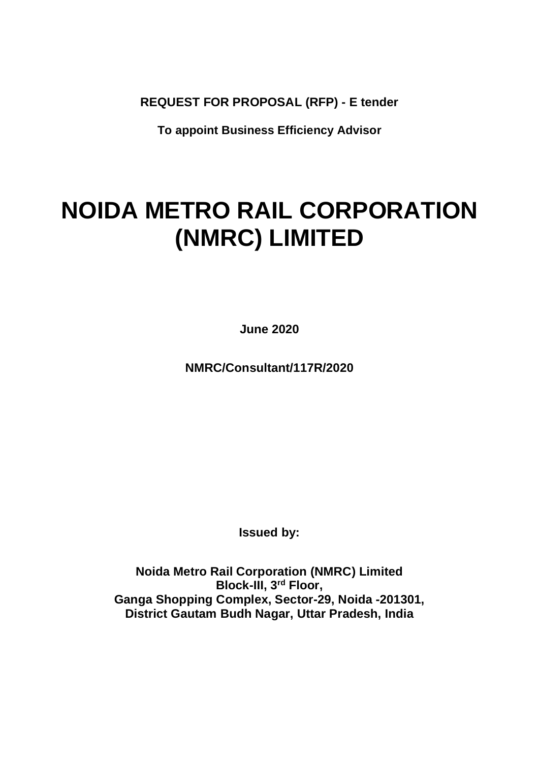**REQUEST FOR PROPOSAL (RFP) - E tender**

**To appoint Business Efficiency Advisor**

# **NOIDA METRO RAIL CORPORATION (NMRC) LIMITED**

**June 2020**

**NMRC/Consultant/117R/2020**

**Issued by:**

**Noida Metro Rail Corporation (NMRC) Limited Block-III, 3rd Floor, Ganga Shopping Complex, Sector-29, Noida -201301, District Gautam Budh Nagar, Uttar Pradesh, India**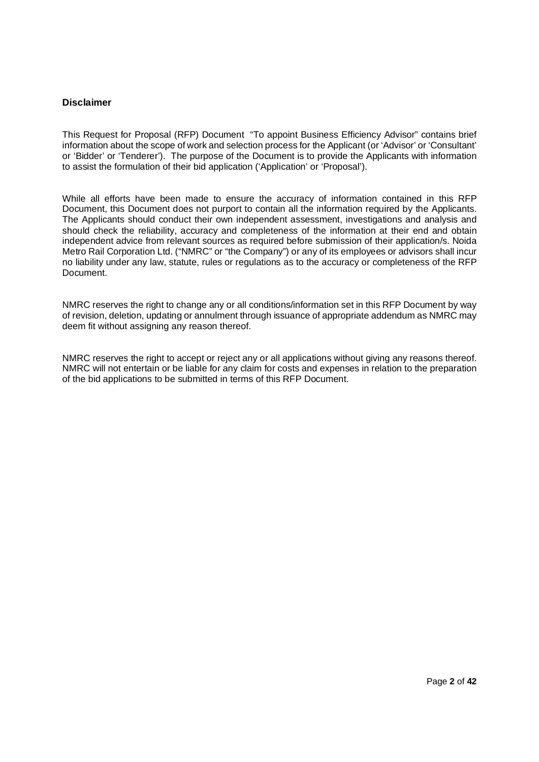### **Disclaimer**

This Request for Proposal (RFP) Document "To appoint Business Efficiency Advisor" contains brief information about the scope of work and selection process for the Applicant (or 'Advisor' or 'Consultant' or 'Bidder' or 'Tenderer'). The purpose of the Document is to provide the Applicants with information to assist the formulation of their bid application ('Application' or 'Proposal').

While all efforts have been made to ensure the accuracy of information contained in this RFP Document, this Document does not purport to contain all the information required by the Applicants. The Applicants should conduct their own independent assessment, investigations and analysis and should check the reliability, accuracy and completeness of the information at their end and obtain independent advice from relevant sources as required before submission of their application/s. Noida Metro Rail Corporation Ltd. ("NMRC" or "the Company") or any of its employees or advisors shall incur no liability under any law, statute, rules or regulations as to the accuracy or completeness of the RFP Document.

NMRC reserves the right to change any or all conditions/information set in this RFP Document by way of revision, deletion, updating or annulment through issuance of appropriate addendum as NMRC may deem fit without assigning any reason thereof.

NMRC reserves the right to accept or reject any or all applications without giving any reasons thereof. NMRC will not entertain or be liable for any claim for costs and expenses in relation to the preparation of the bid applications to be submitted in terms of this RFP Document.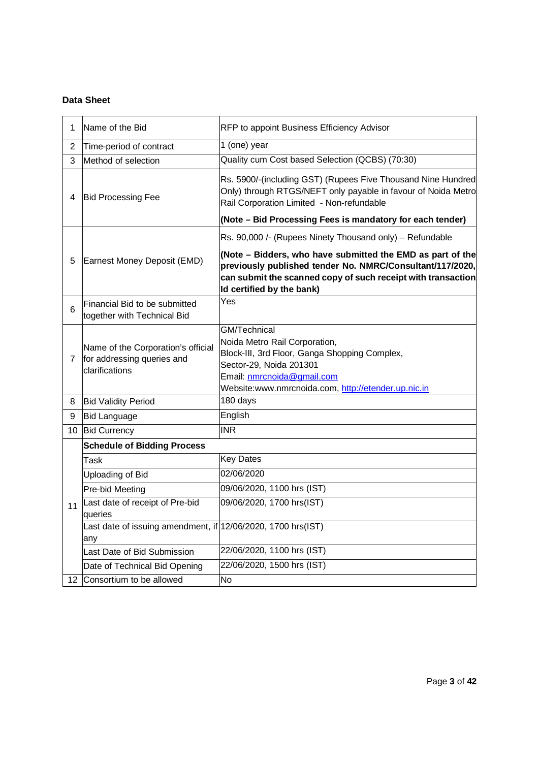# **Data Sheet**

| 1              | Name of the Bid                                                                    | RFP to appoint Business Efficiency Advisor                                                                                                                                                                           |
|----------------|------------------------------------------------------------------------------------|----------------------------------------------------------------------------------------------------------------------------------------------------------------------------------------------------------------------|
| $\overline{2}$ | Time-period of contract                                                            | 1 (one) year                                                                                                                                                                                                         |
| 3              | Method of selection                                                                | Quality cum Cost based Selection (QCBS) (70:30)                                                                                                                                                                      |
| 4              | <b>Bid Processing Fee</b>                                                          | Rs. 5900/-(including GST) (Rupees Five Thousand Nine Hundred<br>Only) through RTGS/NEFT only payable in favour of Noida Metro<br>Rail Corporation Limited - Non-refundable                                           |
|                |                                                                                    | (Note - Bid Processing Fees is mandatory for each tender)                                                                                                                                                            |
|                |                                                                                    | Rs. 90,000 /- (Rupees Ninety Thousand only) - Refundable                                                                                                                                                             |
| 5              | Earnest Money Deposit (EMD)                                                        | (Note - Bidders, who have submitted the EMD as part of the<br>previously published tender No. NMRC/Consultant/117/2020,<br>can submit the scanned copy of such receipt with transaction<br>Id certified by the bank) |
| 6              | Financial Bid to be submitted<br>together with Technical Bid                       | Yes                                                                                                                                                                                                                  |
| $\overline{7}$ | Name of the Corporation's official<br>for addressing queries and<br>clarifications | GM/Technical<br>Noida Metro Rail Corporation,<br>Block-III, 3rd Floor, Ganga Shopping Complex,<br>Sector-29, Noida 201301<br>Email: nmrcnoida@gmail.com<br>Website:www.nmrcnoida.com, http://etender.up.nic.in       |
| 8              | <b>Bid Validity Period</b>                                                         | 180 days                                                                                                                                                                                                             |
| 9              | <b>Bid Language</b>                                                                | English                                                                                                                                                                                                              |
| 10             | <b>Bid Currency</b>                                                                | <b>INR</b>                                                                                                                                                                                                           |
|                | <b>Schedule of Bidding Process</b>                                                 |                                                                                                                                                                                                                      |
|                | Task                                                                               | <b>Key Dates</b>                                                                                                                                                                                                     |
|                | Uploading of Bid                                                                   | 02/06/2020                                                                                                                                                                                                           |
|                | Pre-bid Meeting                                                                    | 09/06/2020, 1100 hrs (IST)                                                                                                                                                                                           |
| 11             | Last date of receipt of Pre-bid<br>queries                                         | 09/06/2020, 1700 hrs(IST)                                                                                                                                                                                            |
|                | Last date of issuing amendment, if $12/06/2020$ , 1700 hrs(IST)<br>any             |                                                                                                                                                                                                                      |
|                | Last Date of Bid Submission                                                        | 22/06/2020, 1100 hrs (IST)                                                                                                                                                                                           |
|                | Date of Technical Bid Opening                                                      | 22/06/2020, 1500 hrs (IST)                                                                                                                                                                                           |
| 12             | Consortium to be allowed                                                           | <b>No</b>                                                                                                                                                                                                            |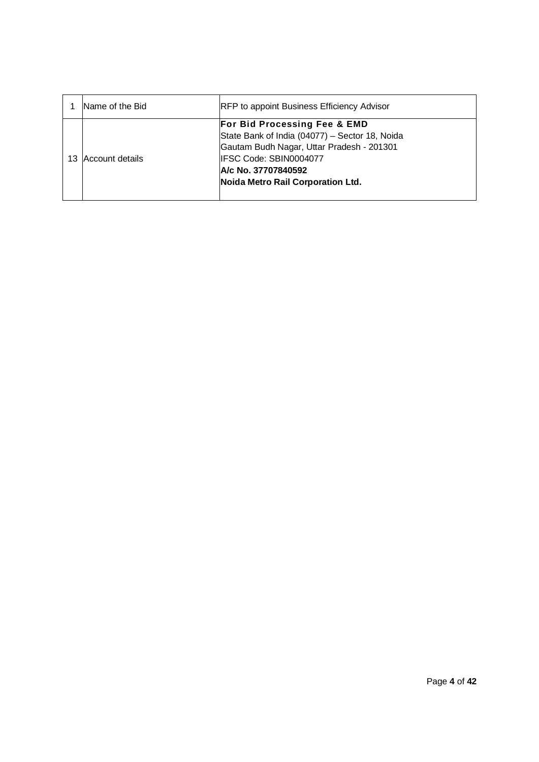| Name of the Bid | <b>RFP</b> to appoint Business Efficiency Advisor                                                                                                                                                                            |
|-----------------|------------------------------------------------------------------------------------------------------------------------------------------------------------------------------------------------------------------------------|
| Account details | <b>For Bid Processing Fee &amp; EMD</b><br>State Bank of India (04077) - Sector 18, Noida<br>Gautam Budh Nagar, Uttar Pradesh - 201301<br>IFSC Code: SBIN0004077<br>A/c No. 37707840592<br>Noida Metro Rail Corporation Ltd. |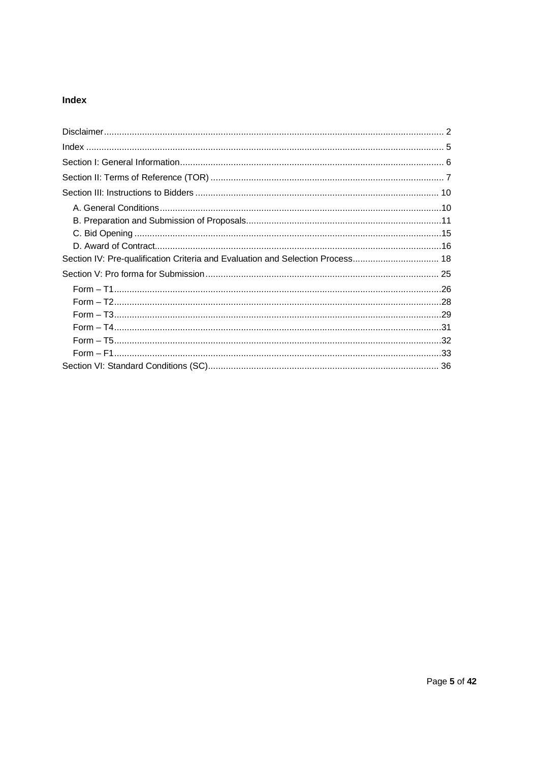# Index

| Section IV: Pre-qualification Criteria and Evaluation and Selection Process 18 |  |
|--------------------------------------------------------------------------------|--|
|                                                                                |  |
|                                                                                |  |
|                                                                                |  |
|                                                                                |  |
|                                                                                |  |
|                                                                                |  |
|                                                                                |  |
|                                                                                |  |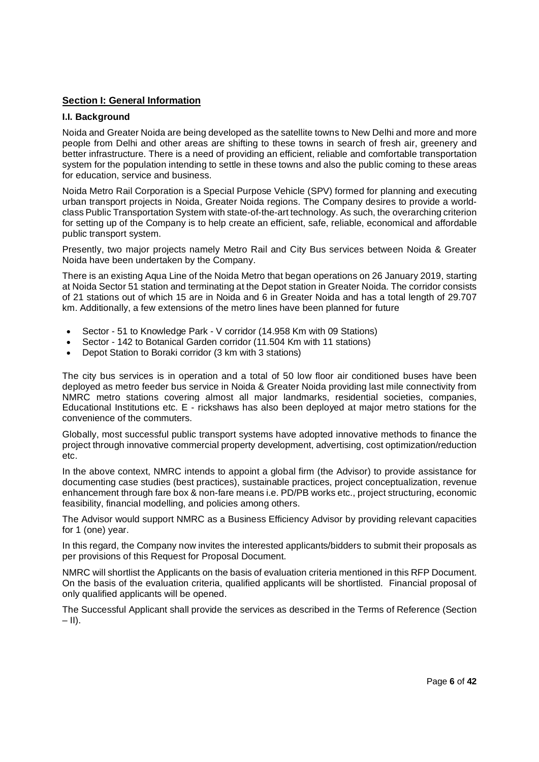# **Section I: General Information**

### **I.I. Background**

Noida and Greater Noida are being developed as the satellite towns to New Delhi and more and more people from Delhi and other areas are shifting to these towns in search of fresh air, greenery and better infrastructure. There is a need of providing an efficient, reliable and comfortable transportation system for the population intending to settle in these towns and also the public coming to these areas for education, service and business.

Noida Metro Rail Corporation is a Special Purpose Vehicle (SPV) formed for planning and executing urban transport projects in Noida, Greater Noida regions. The Company desires to provide a worldclass Public Transportation System with state-of-the-art technology. As such, the overarching criterion for setting up of the Company is to help create an efficient, safe, reliable, economical and affordable public transport system.

Presently, two major projects namely Metro Rail and City Bus services between Noida & Greater Noida have been undertaken by the Company.

There is an existing Aqua Line of the Noida Metro that began operations on 26 January 2019, starting at Noida Sector 51 station and terminating at the Depot station in Greater Noida. The corridor consists of 21 stations out of which 15 are in Noida and 6 in Greater Noida and has a total length of 29.707 km. Additionally, a few extensions of the metro lines have been planned for future

- · Sector 51 to Knowledge Park V corridor (14.958 Km with 09 Stations)
- Sector 142 to Botanical Garden corridor (11.504 Km with 11 stations)
- · Depot Station to Boraki corridor (3 km with 3 stations)

The city bus services is in operation and a total of 50 low floor air conditioned buses have been deployed as metro feeder bus service in Noida & Greater Noida providing last mile connectivity from NMRC metro stations covering almost all major landmarks, residential societies, companies, Educational Institutions etc. E - rickshaws has also been deployed at major metro stations for the convenience of the commuters.

Globally, most successful public transport systems have adopted innovative methods to finance the project through innovative commercial property development, advertising, cost optimization/reduction etc.

In the above context, NMRC intends to appoint a global firm (the Advisor) to provide assistance for documenting case studies (best practices), sustainable practices, project conceptualization, revenue enhancement through fare box & non-fare means i.e. PD/PB works etc., project structuring, economic feasibility, financial modelling, and policies among others.

The Advisor would support NMRC as a Business Efficiency Advisor by providing relevant capacities for 1 (one) year.

In this regard, the Company now invites the interested applicants/bidders to submit their proposals as per provisions of this Request for Proposal Document.

NMRC will shortlist the Applicants on the basis of evaluation criteria mentioned in this RFP Document. On the basis of the evaluation criteria, qualified applicants will be shortlisted. Financial proposal of only qualified applicants will be opened.

The Successful Applicant shall provide the services as described in the Terms of Reference (Section  $-$ II).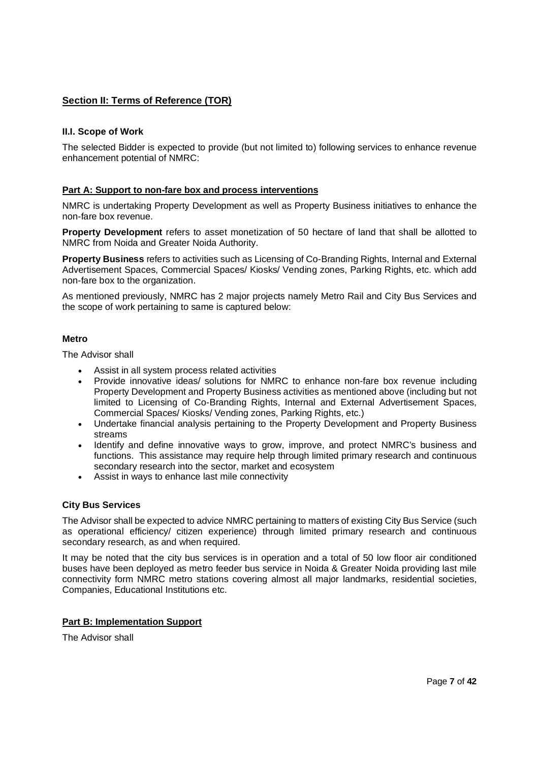# **Section II: Terms of Reference (TOR)**

## **II.I. Scope of Work**

The selected Bidder is expected to provide (but not limited to) following services to enhance revenue enhancement potential of NMRC:

# **Part A: Support to non-fare box and process interventions**

NMRC is undertaking Property Development as well as Property Business initiatives to enhance the non-fare box revenue.

**Property Development** refers to asset monetization of 50 hectare of land that shall be allotted to NMRC from Noida and Greater Noida Authority.

**Property Business** refers to activities such as Licensing of Co-Branding Rights, Internal and External Advertisement Spaces, Commercial Spaces/ Kiosks/ Vending zones, Parking Rights, etc. which add non-fare box to the organization.

As mentioned previously, NMRC has 2 major projects namely Metro Rail and City Bus Services and the scope of work pertaining to same is captured below:

### **Metro**

The Advisor shall

- Assist in all system process related activities
- Provide innovative ideas/ solutions for NMRC to enhance non-fare box revenue including Property Development and Property Business activities as mentioned above (including but not limited to Licensing of Co-Branding Rights, Internal and External Advertisement Spaces, Commercial Spaces/ Kiosks/ Vending zones, Parking Rights, etc.)
- · Undertake financial analysis pertaining to the Property Development and Property Business streams
- · Identify and define innovative ways to grow, improve, and protect NMRC's business and functions. This assistance may require help through limited primary research and continuous secondary research into the sector, market and ecosystem
- · Assist in ways to enhance last mile connectivity

### **City Bus Services**

The Advisor shall be expected to advice NMRC pertaining to matters of existing City Bus Service (such as operational efficiency/ citizen experience) through limited primary research and continuous secondary research, as and when required.

It may be noted that the city bus services is in operation and a total of 50 low floor air conditioned buses have been deployed as metro feeder bus service in Noida & Greater Noida providing last mile connectivity form NMRC metro stations covering almost all major landmarks, residential societies, Companies, Educational Institutions etc.

### **Part B: Implementation Support**

The Advisor shall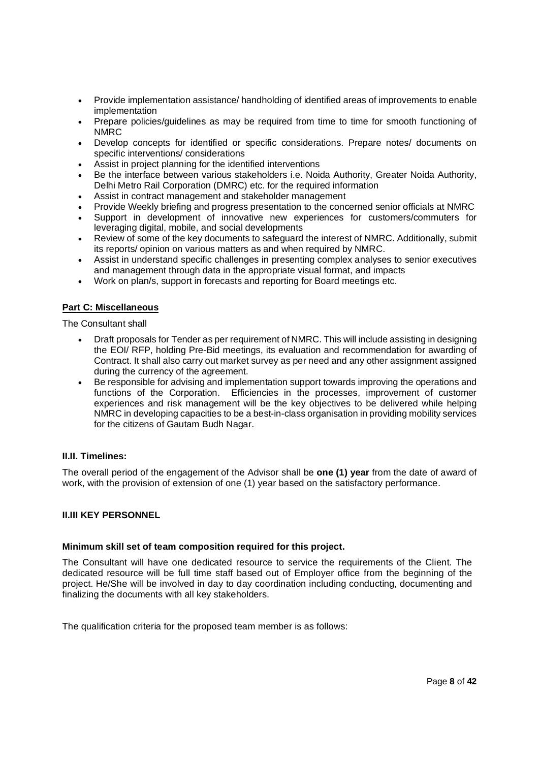- · Provide implementation assistance/ handholding of identified areas of improvements to enable implementation
- · Prepare policies/guidelines as may be required from time to time for smooth functioning of NMRC
- · Develop concepts for identified or specific considerations. Prepare notes/ documents on specific interventions/ considerations
- Assist in project planning for the identified interventions
- Be the interface between various stakeholders i.e. Noida Authority, Greater Noida Authority, Delhi Metro Rail Corporation (DMRC) etc. for the required information
- Assist in contract management and stakeholder management
- · Provide Weekly briefing and progress presentation to the concerned senior officials at NMRC
- · Support in development of innovative new experiences for customers/commuters for leveraging digital, mobile, and social developments
- · Review of some of the key documents to safeguard the interest of NMRC. Additionally, submit its reports/ opinion on various matters as and when required by NMRC.
- Assist in understand specific challenges in presenting complex analyses to senior executives and management through data in the appropriate visual format, and impacts
- · Work on plan/s, support in forecasts and reporting for Board meetings etc.

# **Part C: Miscellaneous**

The Consultant shall

- · Draft proposals for Tender as per requirement of NMRC. This will include assisting in designing the EOI/ RFP, holding Pre-Bid meetings, its evaluation and recommendation for awarding of Contract. It shall also carry out market survey as per need and any other assignment assigned during the currency of the agreement.
- Be responsible for advising and implementation support towards improving the operations and functions of the Corporation. Efficiencies in the processes, improvement of customer experiences and risk management will be the key objectives to be delivered while helping NMRC in developing capacities to be a best-in-class organisation in providing mobility services for the citizens of Gautam Budh Nagar.

### **II.II. Timelines:**

The overall period of the engagement of the Advisor shall be **one (1) year** from the date of award of work, with the provision of extension of one (1) year based on the satisfactory performance.

### **II.III KEY PERSONNEL**

### **Minimum skill set of team composition required for this project.**

The Consultant will have one dedicated resource to service the requirements of the Client. The dedicated resource will be full time staff based out of Employer office from the beginning of the project. He/She will be involved in day to day coordination including conducting, documenting and finalizing the documents with all key stakeholders.

The qualification criteria for the proposed team member is as follows: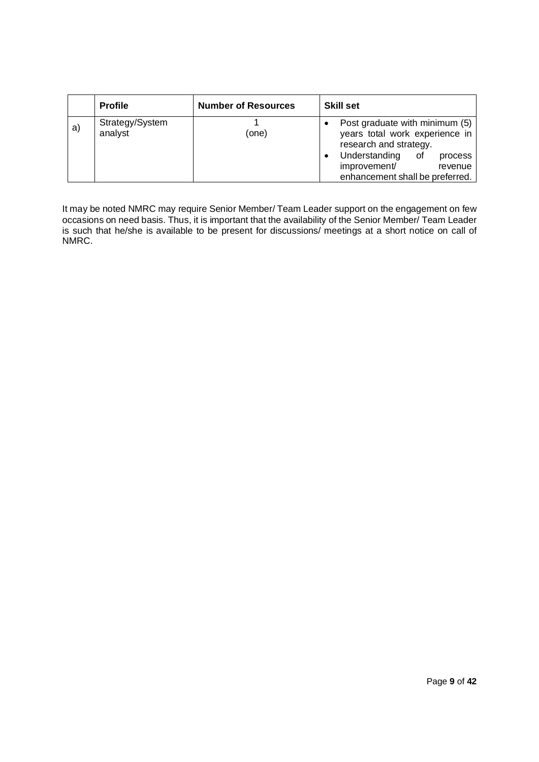|    | <b>Profile</b>             | <b>Number of Resources</b> | <b>Skill set</b>                                                                                                                                                                        |
|----|----------------------------|----------------------------|-----------------------------------------------------------------------------------------------------------------------------------------------------------------------------------------|
| a) | Strategy/System<br>analyst | (one)                      | Post graduate with minimum (5)<br>years total work experience in<br>research and strategy.<br>Understanding of<br>process<br>improvement/<br>revenue<br>enhancement shall be preferred. |

It may be noted NMRC may require Senior Member/ Team Leader support on the engagement on few occasions on need basis. Thus, it is important that the availability of the Senior Member/ Team Leader is such that he/she is available to be present for discussions/ meetings at a short notice on call of NMRC.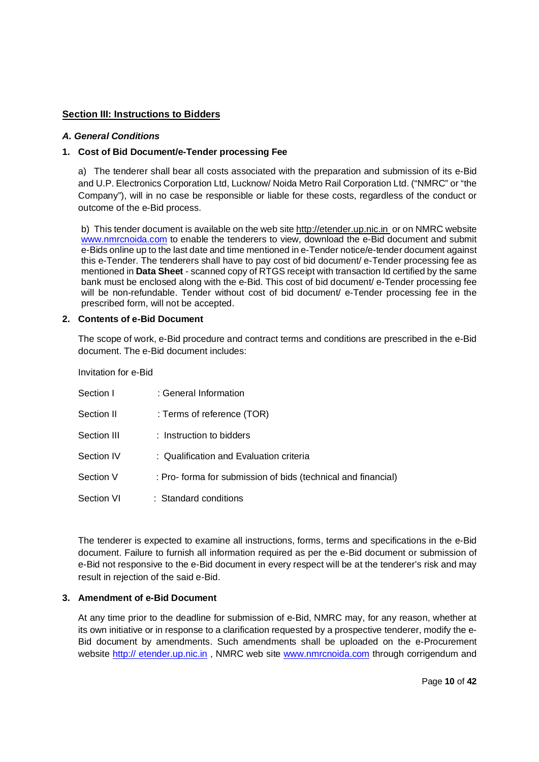# **Section III: Instructions to Bidders**

# *A. General Conditions*

# **1. Cost of Bid Document/e-Tender processing Fee**

a) The tenderer shall bear all costs associated with the preparation and submission of its e-Bid and U.P. Electronics Corporation Ltd, Lucknow/ Noida Metro Rail Corporation Ltd. ("NMRC" or "the Company"), will in no case be responsible or liable for these costs, regardless of the conduct or outcome of the e-Bid process.

b) This tender document is available on the web site http://etender.up.nic.in or on NMRC website www.nmrcnoida.com to enable the tenderers to view, download the e-Bid document and submit e-Bids online up to the last date and time mentioned in e-Tender notice/e-tender document against this e-Tender. The tenderers shall have to pay cost of bid document/ e-Tender processing fee as mentioned in **Data Sheet** - scanned copy of RTGS receipt with transaction Id certified by the same bank must be enclosed along with the e-Bid. This cost of bid document/ e-Tender processing fee will be non-refundable. Tender without cost of bid document/ e-Tender processing fee in the prescribed form, will not be accepted.

### **2. Contents of e-Bid Document**

The scope of work, e-Bid procedure and contract terms and conditions are prescribed in the e-Bid document. The e-Bid document includes:

### Invitation for e-Bid

| Section I         | : General Information                                         |
|-------------------|---------------------------------------------------------------|
| Section II        | : Terms of reference (TOR)                                    |
| Section III       | $:$ Instruction to bidders                                    |
| Section IV        | : Qualification and Evaluation criteria                       |
| Section V         | : Pro- forma for submission of bids (technical and financial) |
| <b>Section VI</b> | : Standard conditions                                         |

The tenderer is expected to examine all instructions, forms, terms and specifications in the e-Bid document. Failure to furnish all information required as per the e-Bid document or submission of e-Bid not responsive to the e-Bid document in every respect will be at the tenderer's risk and may result in rejection of the said e-Bid.

### **3. Amendment of e-Bid Document**

At any time prior to the deadline for submission of e-Bid, NMRC may, for any reason, whether at its own initiative or in response to a clarification requested by a prospective tenderer, modify the e-Bid document by amendments. Such amendments shall be uploaded on the e-Procurement website http:// etender.up.nic.in, NMRC web site www.nmrcnoida.com through corrigendum and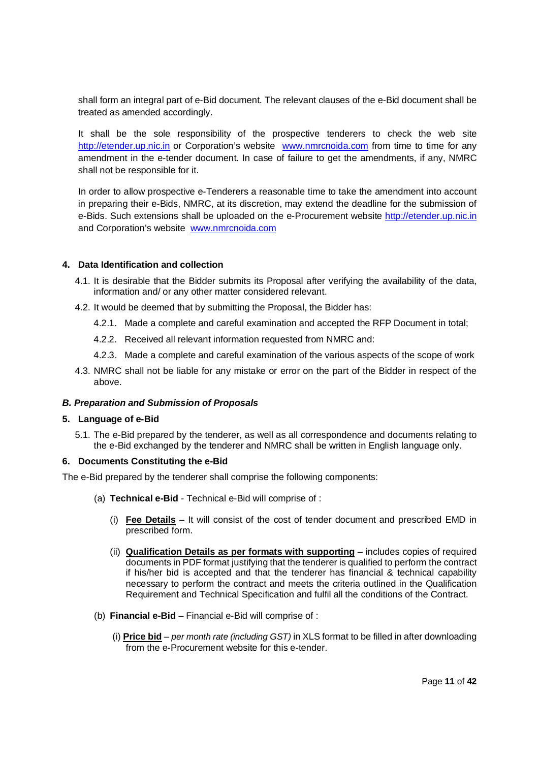shall form an integral part of e-Bid document. The relevant clauses of the e-Bid document shall be treated as amended accordingly.

It shall be the sole responsibility of the prospective tenderers to check the web site http://etender.up.nic.in or Corporation's website www.nmrcnoida.com from time to time for any amendment in the e-tender document. In case of failure to get the amendments, if any, NMRC shall not be responsible for it.

In order to allow prospective e-Tenderers a reasonable time to take the amendment into account in preparing their e-Bids, NMRC, at its discretion, may extend the deadline for the submission of e-Bids. Such extensions shall be uploaded on the e-Procurement website http://etender.up.nic.in and Corporation's website www.nmrcnoida.com

### **4. Data Identification and collection**

- 4.1. It is desirable that the Bidder submits its Proposal after verifying the availability of the data, information and/ or any other matter considered relevant.
- 4.2. It would be deemed that by submitting the Proposal, the Bidder has:
	- 4.2.1. Made a complete and careful examination and accepted the RFP Document in total;
	- 4.2.2. Received all relevant information requested from NMRC and:
	- 4.2.3. Made a complete and careful examination of the various aspects of the scope of work
- 4.3. NMRC shall not be liable for any mistake or error on the part of the Bidder in respect of the above.

### *B. Preparation and Submission of Proposals*

### **5. Language of e-Bid**

5.1. The e-Bid prepared by the tenderer, as well as all correspondence and documents relating to the e-Bid exchanged by the tenderer and NMRC shall be written in English language only.

### **6. Documents Constituting the e-Bid**

The e-Bid prepared by the tenderer shall comprise the following components:

- (a) **Technical e-Bid** Technical e-Bid will comprise of :
	- (i) **Fee Details** It will consist of the cost of tender document and prescribed EMD in prescribed form.
	- (ii) **Qualification Details as per formats with supporting** includes copies of required documents in PDF format justifying that the tenderer is qualified to perform the contract if his/her bid is accepted and that the tenderer has financial & technical capability necessary to perform the contract and meets the criteria outlined in the Qualification Requirement and Technical Specification and fulfil all the conditions of the Contract.
- (b) **Financial e-Bid** Financial e-Bid will comprise of :
	- (i) **Price bid** *per month rate (including GST)* in XLS format to be filled in after downloading from the e-Procurement website for this e-tender.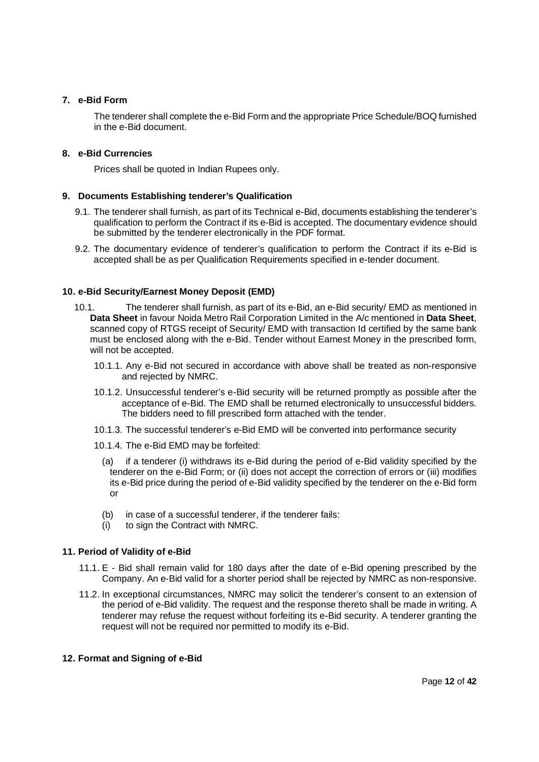### **7. e-Bid Form**

The tenderer shall complete the e-Bid Form and the appropriate Price Schedule/BOQ furnished in the e-Bid document.

# **8. e-Bid Currencies**

Prices shall be quoted in Indian Rupees only.

# **9. Documents Establishing tenderer's Qualification**

- 9.1. The tenderer shall furnish, as part of its Technical e-Bid, documents establishing the tenderer's qualification to perform the Contract if its e-Bid is accepted. The documentary evidence should be submitted by the tenderer electronically in the PDF format.
- 9.2. The documentary evidence of tenderer's qualification to perform the Contract if its e-Bid is accepted shall be as per Qualification Requirements specified in e-tender document.

# **10. e-Bid Security/Earnest Money Deposit (EMD)**

- 10.1. The tenderer shall furnish, as part of its e-Bid, an e-Bid security/ EMD as mentioned in **Data Sheet** in favour Noida Metro Rail Corporation Limited in the A/c mentioned in **Data Sheet**, scanned copy of RTGS receipt of Security/ EMD with transaction Id certified by the same bank must be enclosed along with the e-Bid. Tender without Earnest Money in the prescribed form, will not be accepted.
	- 10.1.1. Any e-Bid not secured in accordance with above shall be treated as non-responsive and rejected by NMRC.
	- 10.1.2. Unsuccessful tenderer's e-Bid security will be returned promptly as possible after the acceptance of e-Bid. The EMD shall be returned electronically to unsuccessful bidders. The bidders need to fill prescribed form attached with the tender.
	- 10.1.3. The successful tenderer's e-Bid EMD will be converted into performance security
	- 10.1.4. The e-Bid EMD may be forfeited:
		- (a) if a tenderer (i) withdraws its e-Bid during the period of e-Bid validity specified by the tenderer on the e-Bid Form; or (ii) does not accept the correction of errors or (iii) modifies its e-Bid price during the period of e-Bid validity specified by the tenderer on the e-Bid form or
		- (b) in case of a successful tenderer, if the tenderer fails:
		- (i) to sign the Contract with NMRC.

### **11. Period of Validity of e-Bid**

- 11.1. E Bid shall remain valid for 180 days after the date of e-Bid opening prescribed by the Company. An e-Bid valid for a shorter period shall be rejected by NMRC as non-responsive.
- 11.2. In exceptional circumstances, NMRC may solicit the tenderer's consent to an extension of the period of e-Bid validity. The request and the response thereto shall be made in writing. A tenderer may refuse the request without forfeiting its e-Bid security. A tenderer granting the request will not be required nor permitted to modify its e-Bid.

## **12. Format and Signing of e-Bid**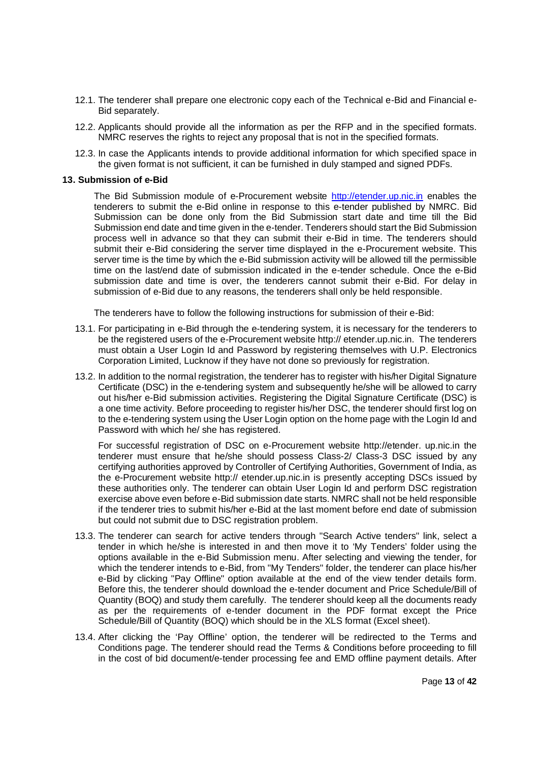- 12.1. The tenderer shall prepare one electronic copy each of the Technical e-Bid and Financial e-Bid separately.
- 12.2. Applicants should provide all the information as per the RFP and in the specified formats. NMRC reserves the rights to reject any proposal that is not in the specified formats.
- 12.3. In case the Applicants intends to provide additional information for which specified space in the given format is not sufficient, it can be furnished in duly stamped and signed PDFs.

#### **13. Submission of e-Bid**

The Bid Submission module of e-Procurement website http://etender.up.nic.in enables the tenderers to submit the e-Bid online in response to this e-tender published by NMRC. Bid Submission can be done only from the Bid Submission start date and time till the Bid Submission end date and time given in the e-tender. Tenderers should start the Bid Submission process well in advance so that they can submit their e-Bid in time. The tenderers should submit their e-Bid considering the server time displayed in the e-Procurement website. This server time is the time by which the e-Bid submission activity will be allowed till the permissible time on the last/end date of submission indicated in the e-tender schedule. Once the e-Bid submission date and time is over, the tenderers cannot submit their e-Bid. For delay in submission of e-Bid due to any reasons, the tenderers shall only be held responsible.

The tenderers have to follow the following instructions for submission of their e-Bid:

- 13.1. For participating in e-Bid through the e-tendering system, it is necessary for the tenderers to be the registered users of the e-Procurement website http:// etender.up.nic.in. The tenderers must obtain a User Login Id and Password by registering themselves with U.P. Electronics Corporation Limited, Lucknow if they have not done so previously for registration.
- 13.2. In addition to the normal registration, the tenderer has to register with his/her Digital Signature Certificate (DSC) in the e-tendering system and subsequently he/she will be allowed to carry out his/her e-Bid submission activities. Registering the Digital Signature Certificate (DSC) is a one time activity. Before proceeding to register his/her DSC, the tenderer should first log on to the e-tendering system using the User Login option on the home page with the Login Id and Password with which he/ she has registered.

For successful registration of DSC on e-Procurement website http://etender. up.nic.in the tenderer must ensure that he/she should possess Class-2/ Class-3 DSC issued by any certifying authorities approved by Controller of Certifying Authorities, Government of India, as the e-Procurement website http:// etender.up.nic.in is presently accepting DSCs issued by these authorities only. The tenderer can obtain User Login Id and perform DSC registration exercise above even before e-Bid submission date starts. NMRC shall not be held responsible if the tenderer tries to submit his/her e-Bid at the last moment before end date of submission but could not submit due to DSC registration problem.

- 13.3. The tenderer can search for active tenders through "Search Active tenders" link, select a tender in which he/she is interested in and then move it to 'My Tenders' folder using the options available in the e-Bid Submission menu. After selecting and viewing the tender, for which the tenderer intends to e-Bid, from "My Tenders" folder, the tenderer can place his/her e-Bid by clicking "Pay Offline" option available at the end of the view tender details form. Before this, the tenderer should download the e-tender document and Price Schedule/Bill of Quantity (BOQ) and study them carefully. The tenderer should keep all the documents ready as per the requirements of e-tender document in the PDF format except the Price Schedule/Bill of Quantity (BOQ) which should be in the XLS format (Excel sheet).
- 13.4. After clicking the 'Pay Offline' option, the tenderer will be redirected to the Terms and Conditions page. The tenderer should read the Terms & Conditions before proceeding to fill in the cost of bid document/e-tender processing fee and EMD offline payment details. After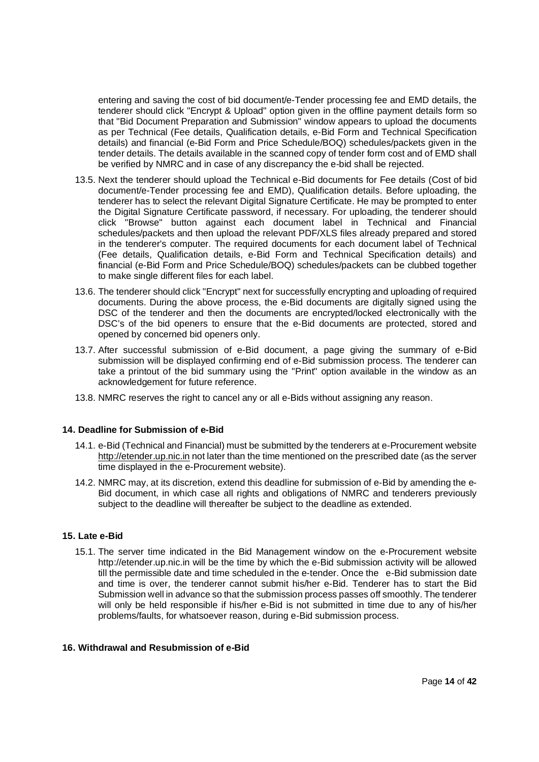entering and saving the cost of bid document/e-Tender processing fee and EMD details, the tenderer should click "Encrypt & Upload" option given in the offline payment details form so that "Bid Document Preparation and Submission" window appears to upload the documents as per Technical (Fee details, Qualification details, e-Bid Form and Technical Specification details) and financial (e-Bid Form and Price Schedule/BOQ) schedules/packets given in the tender details. The details available in the scanned copy of tender form cost and of EMD shall be verified by NMRC and in case of any discrepancy the e-bid shall be rejected.

- 13.5. Next the tenderer should upload the Technical e-Bid documents for Fee details (Cost of bid document/e-Tender processing fee and EMD), Qualification details. Before uploading, the tenderer has to select the relevant Digital Signature Certificate. He may be prompted to enter the Digital Signature Certificate password, if necessary. For uploading, the tenderer should click "Browse" button against each document label in Technical and Financial schedules/packets and then upload the relevant PDF/XLS files already prepared and stored in the tenderer's computer. The required documents for each document label of Technical (Fee details, Qualification details, e-Bid Form and Technical Specification details) and financial (e-Bid Form and Price Schedule/BOQ) schedules/packets can be clubbed together to make single different files for each label.
- 13.6. The tenderer should click "Encrypt" next for successfully encrypting and uploading of required documents. During the above process, the e-Bid documents are digitally signed using the DSC of the tenderer and then the documents are encrypted/locked electronically with the DSC's of the bid openers to ensure that the e-Bid documents are protected, stored and opened by concerned bid openers only.
- 13.7. After successful submission of e-Bid document, a page giving the summary of e-Bid submission will be displayed confirming end of e-Bid submission process. The tenderer can take a printout of the bid summary using the "Print" option available in the window as an acknowledgement for future reference.
- 13.8. NMRC reserves the right to cancel any or all e-Bids without assigning any reason.

### **14. Deadline for Submission of e-Bid**

- 14.1. e-Bid (Technical and Financial) must be submitted by the tenderers at e-Procurement website http://etender.up.nic.in not later than the time mentioned on the prescribed date (as the server time displayed in the e-Procurement website).
- 14.2. NMRC may, at its discretion, extend this deadline for submission of e-Bid by amending the e-Bid document, in which case all rights and obligations of NMRC and tenderers previously subject to the deadline will thereafter be subject to the deadline as extended.

### **15. Late e-Bid**

15.1. The server time indicated in the Bid Management window on the e-Procurement website http://etender.up.nic.in will be the time by which the e-Bid submission activity will be allowed till the permissible date and time scheduled in the e-tender. Once the e-Bid submission date and time is over, the tenderer cannot submit his/her e-Bid. Tenderer has to start the Bid Submission well in advance so that the submission process passes off smoothly. The tenderer will only be held responsible if his/her e-Bid is not submitted in time due to any of his/her problems/faults, for whatsoever reason, during e-Bid submission process.

# **16. Withdrawal and Resubmission of e-Bid**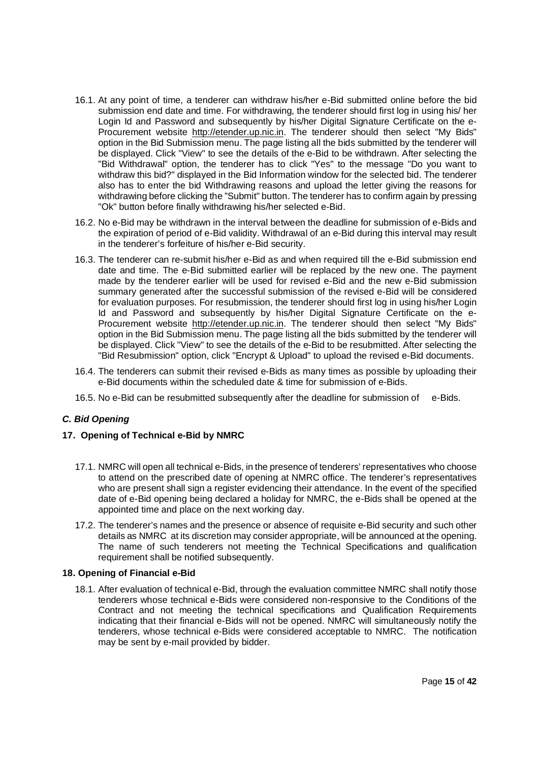- 16.1. At any point of time, a tenderer can withdraw his/her e-Bid submitted online before the bid submission end date and time. For withdrawing, the tenderer should first log in using his/ her Login Id and Password and subsequently by his/her Digital Signature Certificate on the e-Procurement website http://etender.up.nic.in. The tenderer should then select "My Bids" option in the Bid Submission menu. The page listing all the bids submitted by the tenderer will be displayed. Click "View" to see the details of the e-Bid to be withdrawn. After selecting the "Bid Withdrawal" option, the tenderer has to click "Yes" to the message "Do you want to withdraw this bid?" displayed in the Bid Information window for the selected bid. The tenderer also has to enter the bid Withdrawing reasons and upload the letter giving the reasons for withdrawing before clicking the "Submit" button. The tenderer has to confirm again by pressing "Ok" button before finally withdrawing his/her selected e-Bid.
- 16.2. No e-Bid may be withdrawn in the interval between the deadline for submission of e-Bids and the expiration of period of e-Bid validity. Withdrawal of an e-Bid during this interval may result in the tenderer's forfeiture of his/her e-Bid security.
- 16.3. The tenderer can re-submit his/her e-Bid as and when required till the e-Bid submission end date and time. The e-Bid submitted earlier will be replaced by the new one. The payment made by the tenderer earlier will be used for revised e-Bid and the new e-Bid submission summary generated after the successful submission of the revised e-Bid will be considered for evaluation purposes. For resubmission, the tenderer should first log in using his/her Login Id and Password and subsequently by his/her Digital Signature Certificate on the e-Procurement website http://etender.up.nic.in. The tenderer should then select "My Bids" option in the Bid Submission menu. The page listing all the bids submitted by the tenderer will be displayed. Click "View" to see the details of the e-Bid to be resubmitted. After selecting the "Bid Resubmission" option, click "Encrypt & Upload" to upload the revised e-Bid documents.
- 16.4. The tenderers can submit their revised e-Bids as many times as possible by uploading their e-Bid documents within the scheduled date & time for submission of e-Bids.
- 16.5. No e-Bid can be resubmitted subsequently after the deadline for submission of e-Bids.

# *C. Bid Opening*

### **17. Opening of Technical e-Bid by NMRC**

- 17.1. NMRC will open all technical e-Bids, in the presence of tenderers' representatives who choose to attend on the prescribed date of opening at NMRC office. The tenderer's representatives who are present shall sign a register evidencing their attendance. In the event of the specified date of e-Bid opening being declared a holiday for NMRC, the e-Bids shall be opened at the appointed time and place on the next working day.
- 17.2. The tenderer's names and the presence or absence of requisite e-Bid security and such other details as NMRC at its discretion may consider appropriate, will be announced at the opening. The name of such tenderers not meeting the Technical Specifications and qualification requirement shall be notified subsequently.

### **18. Opening of Financial e-Bid**

18.1. After evaluation of technical e-Bid, through the evaluation committee NMRC shall notify those tenderers whose technical e-Bids were considered non-responsive to the Conditions of the Contract and not meeting the technical specifications and Qualification Requirements indicating that their financial e-Bids will not be opened. NMRC will simultaneously notify the tenderers, whose technical e-Bids were considered acceptable to NMRC. The notification may be sent by e-mail provided by bidder.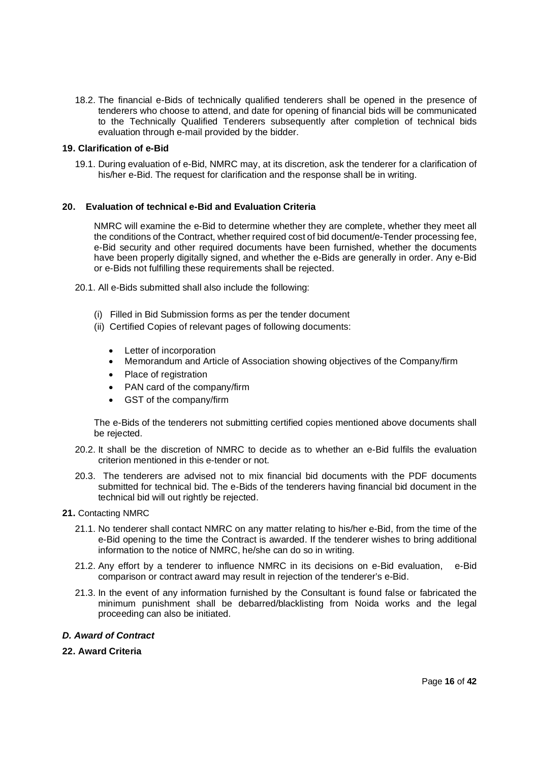18.2. The financial e-Bids of technically qualified tenderers shall be opened in the presence of tenderers who choose to attend, and date for opening of financial bids will be communicated to the Technically Qualified Tenderers subsequently after completion of technical bids evaluation through e-mail provided by the bidder.

### **19. Clarification of e-Bid**

19.1. During evaluation of e-Bid, NMRC may, at its discretion, ask the tenderer for a clarification of his/her e-Bid. The request for clarification and the response shall be in writing.

### **20. Evaluation of technical e-Bid and Evaluation Criteria**

NMRC will examine the e-Bid to determine whether they are complete, whether they meet all the conditions of the Contract, whether required cost of bid document/e-Tender processing fee, e-Bid security and other required documents have been furnished, whether the documents have been properly digitally signed, and whether the e-Bids are generally in order. Any e-Bid or e-Bids not fulfilling these requirements shall be rejected.

- 20.1. All e-Bids submitted shall also include the following:
	- (i) Filled in Bid Submission forms as per the tender document
	- (ii) Certified Copies of relevant pages of following documents:
		- Letter of incorporation
		- · Memorandum and Article of Association showing objectives of the Company/firm
		- · Place of registration
		- · PAN card of the company/firm
		- · GST of the company/firm

The e-Bids of the tenderers not submitting certified copies mentioned above documents shall be rejected.

- 20.2. It shall be the discretion of NMRC to decide as to whether an e-Bid fulfils the evaluation criterion mentioned in this e-tender or not.
- 20.3. The tenderers are advised not to mix financial bid documents with the PDF documents submitted for technical bid. The e-Bids of the tenderers having financial bid document in the technical bid will out rightly be rejected.
- **21.** Contacting NMRC
	- 21.1. No tenderer shall contact NMRC on any matter relating to his/her e-Bid, from the time of the e-Bid opening to the time the Contract is awarded. If the tenderer wishes to bring additional information to the notice of NMRC, he/she can do so in writing.
	- 21.2. Any effort by a tenderer to influence NMRC in its decisions on e-Bid evaluation, e-Bid comparison or contract award may result in rejection of the tenderer's e-Bid.
	- 21.3. In the event of any information furnished by the Consultant is found false or fabricated the minimum punishment shall be debarred/blacklisting from Noida works and the legal proceeding can also be initiated.

### *D. Award of Contract*

**22. Award Criteria**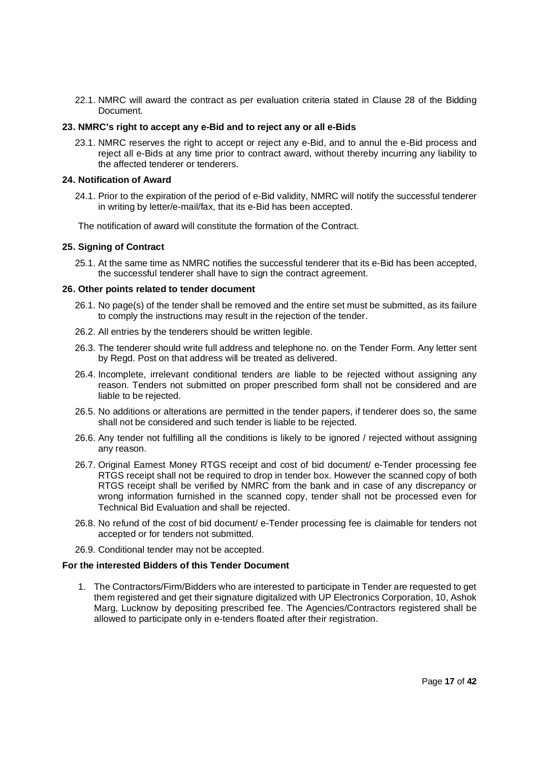22.1. NMRC will award the contract as per evaluation criteria stated in Clause 28 of the Bidding Document.

### **23. NMRC's right to accept any e-Bid and to reject any or all e-Bids**

23.1. NMRC reserves the right to accept or reject any e-Bid, and to annul the e-Bid process and reject all e-Bids at any time prior to contract award, without thereby incurring any liability to the affected tenderer or tenderers.

### **24. Notification of Award**

24.1. Prior to the expiration of the period of e-Bid validity, NMRC will notify the successful tenderer in writing by letter/e-mail/fax, that its e-Bid has been accepted.

The notification of award will constitute the formation of the Contract.

### **25. Signing of Contract**

25.1. At the same time as NMRC notifies the successful tenderer that its e-Bid has been accepted, the successful tenderer shall have to sign the contract agreement.

### **26. Other points related to tender document**

- 26.1. No page(s) of the tender shall be removed and the entire set must be submitted, as its failure to comply the instructions may result in the rejection of the tender.
- 26.2. All entries by the tenderers should be written legible.
- 26.3. The tenderer should write full address and telephone no. on the Tender Form. Any letter sent by Regd. Post on that address will be treated as delivered.
- 26.4. Incomplete, irrelevant conditional tenders are liable to be rejected without assigning any reason. Tenders not submitted on proper prescribed form shall not be considered and are liable to be rejected.
- 26.5. No additions or alterations are permitted in the tender papers, if tenderer does so, the same shall not be considered and such tender is liable to be rejected.
- 26.6. Any tender not fulfilling all the conditions is likely to be ignored / rejected without assigning any reason.
- 26.7. Original Earnest Money RTGS receipt and cost of bid document/ e-Tender processing fee RTGS receipt shall not be required to drop in tender box. However the scanned copy of both RTGS receipt shall be verified by NMRC from the bank and in case of any discrepancy or wrong information furnished in the scanned copy, tender shall not be processed even for Technical Bid Evaluation and shall be rejected.
- 26.8. No refund of the cost of bid document/ e-Tender processing fee is claimable for tenders not accepted or for tenders not submitted.
- 26.9. Conditional tender may not be accepted.

### **For the interested Bidders of this Tender Document**

1. The Contractors/Firm/Bidders who are interested to participate in Tender are requested to get them registered and get their signature digitalized with UP Electronics Corporation, 10, Ashok Marg, Lucknow by depositing prescribed fee. The Agencies/Contractors registered shall be allowed to participate only in e-tenders floated after their registration.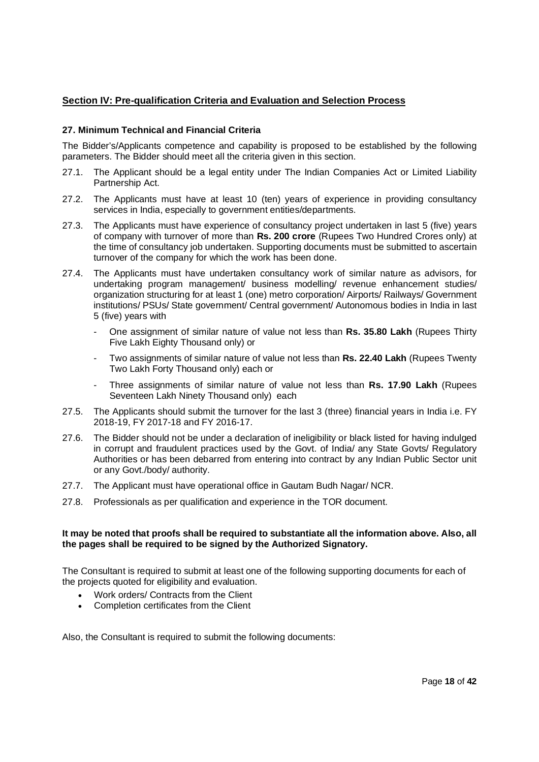# **Section IV: Pre-qualification Criteria and Evaluation and Selection Process**

# **27. Minimum Technical and Financial Criteria**

The Bidder's/Applicants competence and capability is proposed to be established by the following parameters. The Bidder should meet all the criteria given in this section.

- 27.1. The Applicant should be a legal entity under The Indian Companies Act or Limited Liability Partnership Act.
- 27.2. The Applicants must have at least 10 (ten) years of experience in providing consultancy services in India, especially to government entities/departments.
- 27.3. The Applicants must have experience of consultancy project undertaken in last 5 (five) years of company with turnover of more than **Rs. 200 crore** (Rupees Two Hundred Crores only) at the time of consultancy job undertaken. Supporting documents must be submitted to ascertain turnover of the company for which the work has been done.
- 27.4. The Applicants must have undertaken consultancy work of similar nature as advisors, for undertaking program management/ business modelling/ revenue enhancement studies/ organization structuring for at least 1 (one) metro corporation/ Airports/ Railways/ Government institutions/ PSUs/ State government/ Central government/ Autonomous bodies in India in last 5 (five) years with
	- One assignment of similar nature of value not less than **Rs. 35.80 Lakh** (Rupees Thirty Five Lakh Eighty Thousand only) or
	- Two assignments of similar nature of value not less than **Rs. 22.40 Lakh** (Rupees Twenty Two Lakh Forty Thousand only) each or
	- Three assignments of similar nature of value not less than **Rs. 17.90 Lakh** (Rupees Seventeen Lakh Ninety Thousand only) each
- 27.5. The Applicants should submit the turnover for the last 3 (three) financial years in India i.e. FY 2018-19, FY 2017-18 and FY 2016-17.
- 27.6. The Bidder should not be under a declaration of ineligibility or black listed for having indulged in corrupt and fraudulent practices used by the Govt. of India/ any State Govts/ Regulatory Authorities or has been debarred from entering into contract by any Indian Public Sector unit or any Govt./body/ authority.
- 27.7. The Applicant must have operational office in Gautam Budh Nagar/ NCR.
- 27.8. Professionals as per qualification and experience in the TOR document.

### **It may be noted that proofs shall be required to substantiate all the information above. Also, all the pages shall be required to be signed by the Authorized Signatory.**

The Consultant is required to submit at least one of the following supporting documents for each of the projects quoted for eligibility and evaluation.

- Work orders/ Contracts from the Client
- Completion certificates from the Client

Also, the Consultant is required to submit the following documents: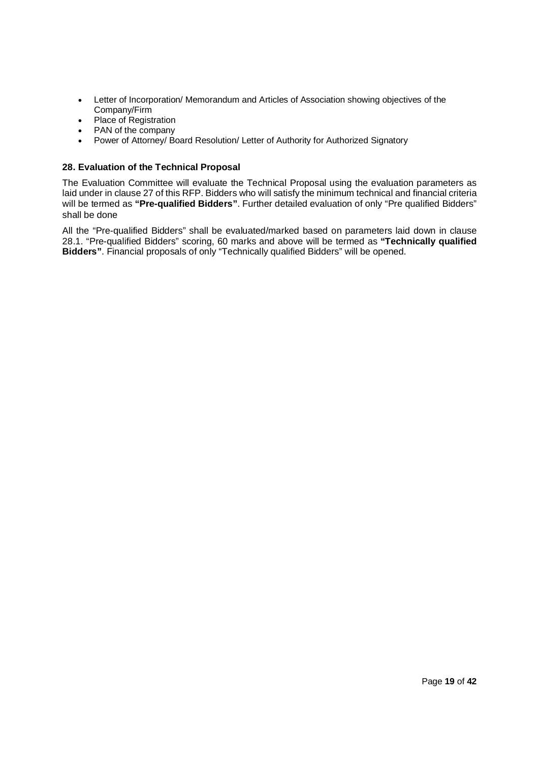- · Letter of Incorporation/ Memorandum and Articles of Association showing objectives of the Company/Firm
- · Place of Registration
- PAN of the company
- Power of Attorney/ Board Resolution/ Letter of Authority for Authorized Signatory

### **28. Evaluation of the Technical Proposal**

The Evaluation Committee will evaluate the Technical Proposal using the evaluation parameters as laid under in clause 27 of this RFP. Bidders who will satisfy the minimum technical and financial criteria will be termed as **"Pre-qualified Bidders"**. Further detailed evaluation of only "Pre qualified Bidders" shall be done

All the "Pre-qualified Bidders" shall be evaluated/marked based on parameters laid down in clause 28.1. "Pre-qualified Bidders" scoring, 60 marks and above will be termed as **"Technically qualified Bidders"**. Financial proposals of only "Technically qualified Bidders" will be opened.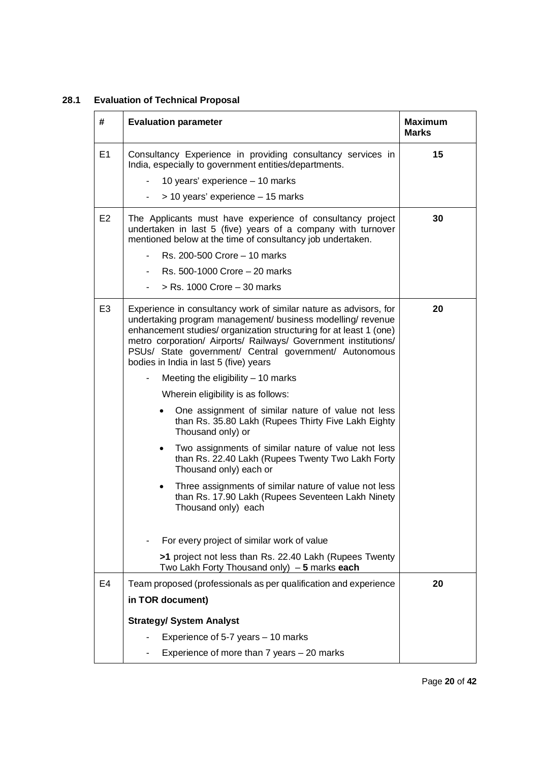# **28.1 Evaluation of Technical Proposal**

| #              | <b>Evaluation parameter</b>                                                                                                                                                                                                                                                                                                                                                   | <b>Maximum</b><br><b>Marks</b> |
|----------------|-------------------------------------------------------------------------------------------------------------------------------------------------------------------------------------------------------------------------------------------------------------------------------------------------------------------------------------------------------------------------------|--------------------------------|
| E <sub>1</sub> | Consultancy Experience in providing consultancy services in<br>India, especially to government entities/departments.                                                                                                                                                                                                                                                          | 15                             |
|                | 10 years' experience - 10 marks                                                                                                                                                                                                                                                                                                                                               |                                |
|                | > 10 years' experience - 15 marks<br>$\blacksquare$                                                                                                                                                                                                                                                                                                                           |                                |
| E <sub>2</sub> | The Applicants must have experience of consultancy project<br>undertaken in last 5 (five) years of a company with turnover<br>mentioned below at the time of consultancy job undertaken.                                                                                                                                                                                      | 30                             |
|                | Rs. 200-500 Crore - 10 marks                                                                                                                                                                                                                                                                                                                                                  |                                |
|                | Rs. 500-1000 Crore - 20 marks                                                                                                                                                                                                                                                                                                                                                 |                                |
|                | $>$ Rs. 1000 Crore $-$ 30 marks                                                                                                                                                                                                                                                                                                                                               |                                |
| E <sub>3</sub> | Experience in consultancy work of similar nature as advisors, for<br>undertaking program management/ business modelling/ revenue<br>enhancement studies/ organization structuring for at least 1 (one)<br>metro corporation/ Airports/ Railways/ Government institutions/<br>PSUs/ State government/ Central government/ Autonomous<br>bodies in India in last 5 (five) years | 20                             |
|                | Meeting the eligibility $-10$ marks                                                                                                                                                                                                                                                                                                                                           |                                |
|                | Wherein eligibility is as follows:                                                                                                                                                                                                                                                                                                                                            |                                |
|                | One assignment of similar nature of value not less<br>than Rs. 35.80 Lakh (Rupees Thirty Five Lakh Eighty<br>Thousand only) or                                                                                                                                                                                                                                                |                                |
|                | Two assignments of similar nature of value not less<br>$\bullet$<br>than Rs. 22.40 Lakh (Rupees Twenty Two Lakh Forty<br>Thousand only) each or                                                                                                                                                                                                                               |                                |
|                | Three assignments of similar nature of value not less<br>$\bullet$<br>than Rs. 17.90 Lakh (Rupees Seventeen Lakh Ninety<br>Thousand only) each                                                                                                                                                                                                                                |                                |
|                | For every project of similar work of value                                                                                                                                                                                                                                                                                                                                    |                                |
|                | >1 project not less than Rs. 22.40 Lakh (Rupees Twenty<br>Two Lakh Forty Thousand only) $-5$ marks each                                                                                                                                                                                                                                                                       |                                |
| E4             | Team proposed (professionals as per qualification and experience                                                                                                                                                                                                                                                                                                              | 20                             |
|                | in TOR document)                                                                                                                                                                                                                                                                                                                                                              |                                |
|                | <b>Strategy/ System Analyst</b>                                                                                                                                                                                                                                                                                                                                               |                                |
|                | Experience of 5-7 years - 10 marks                                                                                                                                                                                                                                                                                                                                            |                                |
|                | Experience of more than 7 years - 20 marks                                                                                                                                                                                                                                                                                                                                    |                                |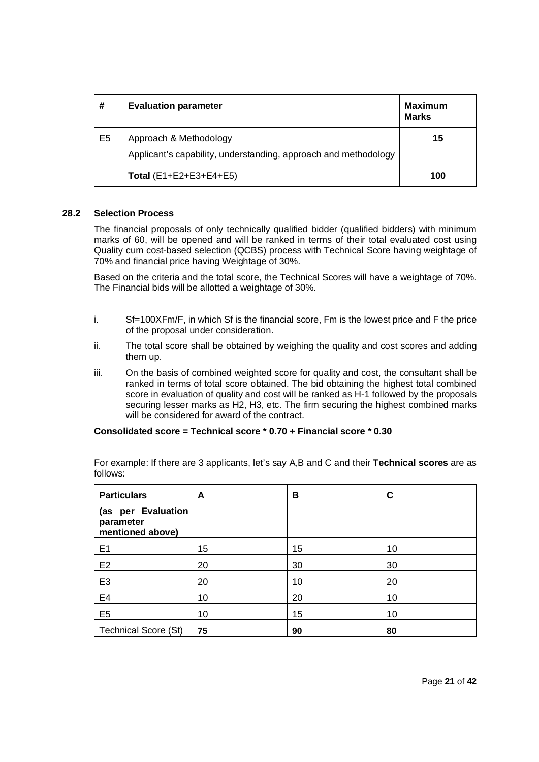| #              | <b>Evaluation parameter</b>                                                               | <b>Maximum</b><br><b>Marks</b> |
|----------------|-------------------------------------------------------------------------------------------|--------------------------------|
| E <sub>5</sub> | Approach & Methodology<br>Applicant's capability, understanding, approach and methodology | 15                             |
|                | Total $(E1 + E2 + E3 + E4 + E5)$                                                          | 100                            |

### **28.2 Selection Process**

The financial proposals of only technically qualified bidder (qualified bidders) with minimum marks of 60, will be opened and will be ranked in terms of their total evaluated cost using Quality cum cost-based selection (QCBS) process with Technical Score having weightage of 70% and financial price having Weightage of 30%.

Based on the criteria and the total score, the Technical Scores will have a weightage of 70%. The Financial bids will be allotted a weightage of 30%.

- i. Sf=100XFm/F, in which Sf is the financial score, Fm is the lowest price and F the price of the proposal under consideration.
- ii. The total score shall be obtained by weighing the quality and cost scores and adding them up.
- iii. On the basis of combined weighted score for quality and cost, the consultant shall be ranked in terms of total score obtained. The bid obtaining the highest total combined score in evaluation of quality and cost will be ranked as H-1 followed by the proposals securing lesser marks as H2, H3, etc. The firm securing the highest combined marks will be considered for award of the contract.

## **Consolidated score = Technical score \* 0.70 + Financial score \* 0.30**

| <b>Particulars</b><br>(as per Evaluation<br>parameter<br>mentioned above) | A  | в  | C  |
|---------------------------------------------------------------------------|----|----|----|
| E1                                                                        | 15 | 15 | 10 |
| E <sub>2</sub>                                                            | 20 | 30 | 30 |
| E <sub>3</sub>                                                            | 20 | 10 | 20 |
| E <sub>4</sub>                                                            | 10 | 20 | 10 |
| E <sub>5</sub>                                                            | 10 | 15 | 10 |
| <b>Technical Score (St)</b>                                               | 75 | 90 | 80 |

For example: If there are 3 applicants, let's say A,B and C and their **Technical scores** are as follows: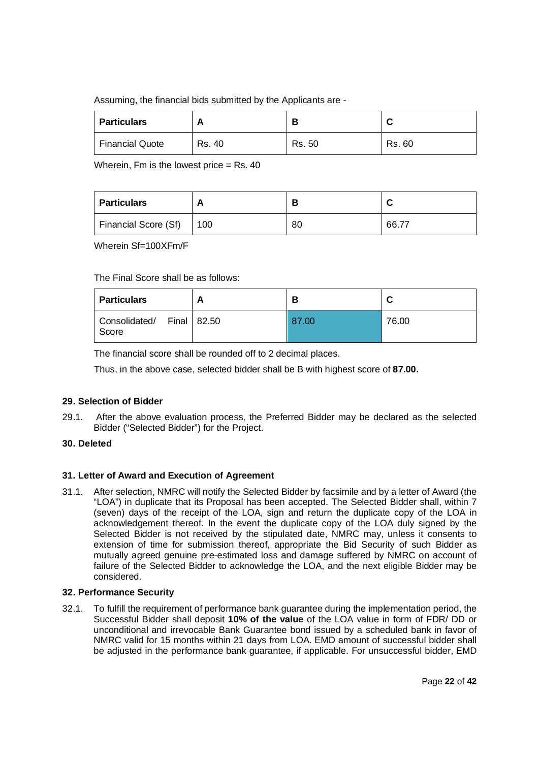# Assuming, the financial bids submitted by the Applicants are -

| <b>Particulars</b>     | <u>r</u> |        |        |
|------------------------|----------|--------|--------|
| <b>Financial Quote</b> | Rs. 40   | Rs. 50 | Rs. 60 |

Wherein, Fm is the lowest price  $=$  Rs, 40

| <b>Particulars</b>   | <u>r</u> |    | ື     |
|----------------------|----------|----|-------|
| Financial Score (Sf) | 100      | 80 | 66.77 |

Wherein Sf=100XFm/F

The Final Score shall be as follows:

| <b>Particulars</b>     | Ð             |       | ື     |
|------------------------|---------------|-------|-------|
| Consolidated/<br>Score | Final   82.50 | 87.00 | 76.00 |

The financial score shall be rounded off to 2 decimal places.

Thus, in the above case, selected bidder shall be B with highest score of **87.00.**

# **29. Selection of Bidder**

29.1. After the above evaluation process, the Preferred Bidder may be declared as the selected Bidder ("Selected Bidder") for the Project.

# **30. Deleted**

# **31. Letter of Award and Execution of Agreement**

31.1. After selection, NMRC will notify the Selected Bidder by facsimile and by a letter of Award (the "LOA") in duplicate that its Proposal has been accepted. The Selected Bidder shall, within 7 (seven) days of the receipt of the LOA, sign and return the duplicate copy of the LOA in acknowledgement thereof. In the event the duplicate copy of the LOA duly signed by the Selected Bidder is not received by the stipulated date, NMRC may, unless it consents to extension of time for submission thereof, appropriate the Bid Security of such Bidder as mutually agreed genuine pre-estimated loss and damage suffered by NMRC on account of failure of the Selected Bidder to acknowledge the LOA, and the next eligible Bidder may be considered.

# **32. Performance Security**

32.1. To fulfill the requirement of performance bank guarantee during the implementation period, the Successful Bidder shall deposit **10% of the value** of the LOA value in form of FDR/ DD or unconditional and irrevocable Bank Guarantee bond issued by a scheduled bank in favor of NMRC valid for 15 months within 21 days from LOA. EMD amount of successful bidder shall be adjusted in the performance bank guarantee, if applicable. For unsuccessful bidder, EMD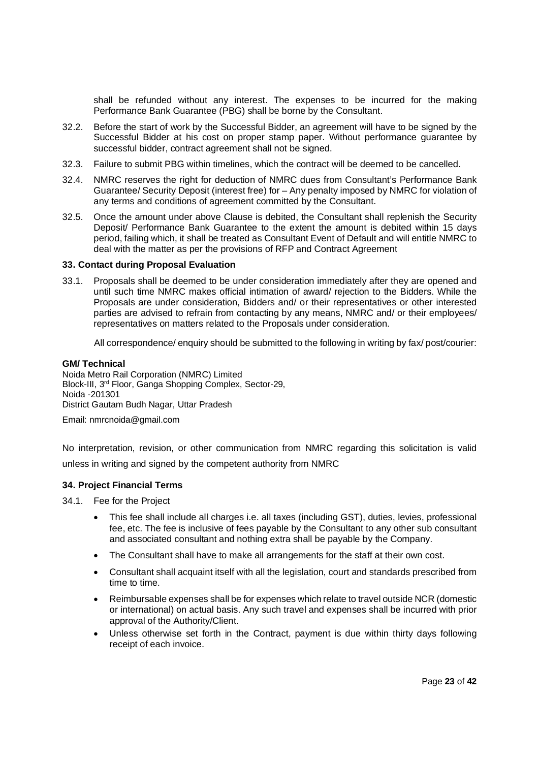shall be refunded without any interest. The expenses to be incurred for the making Performance Bank Guarantee (PBG) shall be borne by the Consultant.

- 32.2. Before the start of work by the Successful Bidder, an agreement will have to be signed by the Successful Bidder at his cost on proper stamp paper. Without performance guarantee by successful bidder, contract agreement shall not be signed.
- 32.3. Failure to submit PBG within timelines, which the contract will be deemed to be cancelled.
- 32.4. NMRC reserves the right for deduction of NMRC dues from Consultant's Performance Bank Guarantee/ Security Deposit (interest free) for – Any penalty imposed by NMRC for violation of any terms and conditions of agreement committed by the Consultant.
- 32.5. Once the amount under above Clause is debited, the Consultant shall replenish the Security Deposit/ Performance Bank Guarantee to the extent the amount is debited within 15 days period, failing which, it shall be treated as Consultant Event of Default and will entitle NMRC to deal with the matter as per the provisions of RFP and Contract Agreement

### **33. Contact during Proposal Evaluation**

33.1. Proposals shall be deemed to be under consideration immediately after they are opened and until such time NMRC makes official intimation of award/ rejection to the Bidders. While the Proposals are under consideration, Bidders and/ or their representatives or other interested parties are advised to refrain from contacting by any means, NMRC and/ or their employees/ representatives on matters related to the Proposals under consideration.

All correspondence/ enquiry should be submitted to the following in writing by fax/ post/courier:

### **GM/ Technical**

Noida Metro Rail Corporation (NMRC) Limited Block-III, 3rd Floor, Ganga Shopping Complex, Sector-29, Noida -201301 District Gautam Budh Nagar, Uttar Pradesh

Email: nmrcnoida@gmail.com

No interpretation, revision, or other communication from NMRC regarding this solicitation is valid unless in writing and signed by the competent authority from NMRC

### **34. Project Financial Terms**

34.1. Fee for the Project

- · This fee shall include all charges i.e. all taxes (including GST), duties, levies, professional fee, etc. The fee is inclusive of fees payable by the Consultant to any other sub consultant and associated consultant and nothing extra shall be payable by the Company.
- · The Consultant shall have to make all arrangements for the staff at their own cost.
- · Consultant shall acquaint itself with all the legislation, court and standards prescribed from time to time.
- · Reimbursable expenses shall be for expenses which relate to travel outside NCR (domestic or international) on actual basis. Any such travel and expenses shall be incurred with prior approval of the Authority/Client.
- Unless otherwise set forth in the Contract, payment is due within thirty days following receipt of each invoice.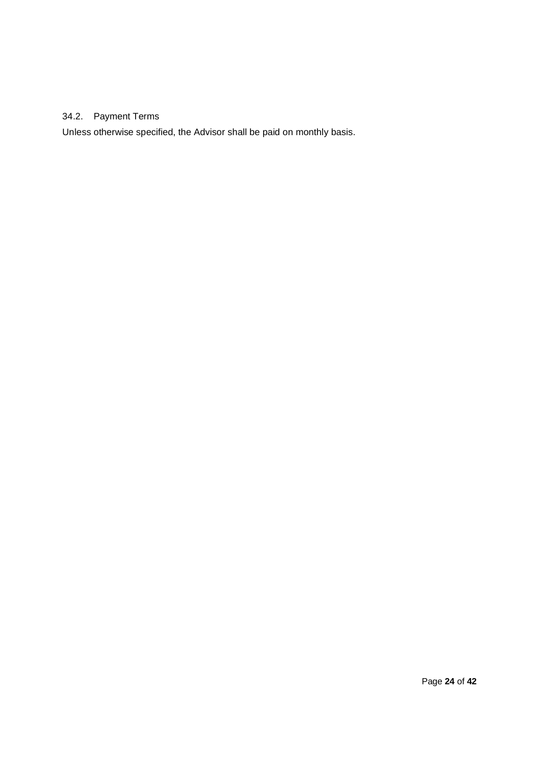# 34.2. Payment Terms

Unless otherwise specified, the Advisor shall be paid on monthly basis.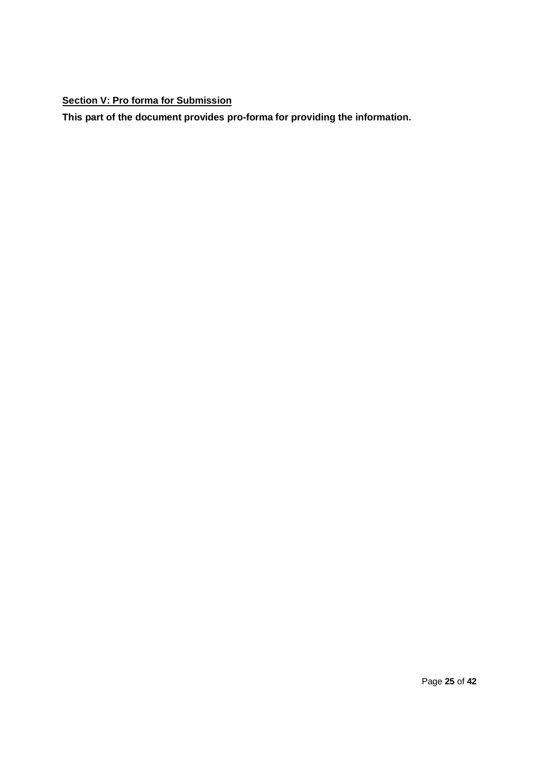# **Section V: Pro forma for Submission**

**This part of the document provides pro-forma for providing the information.**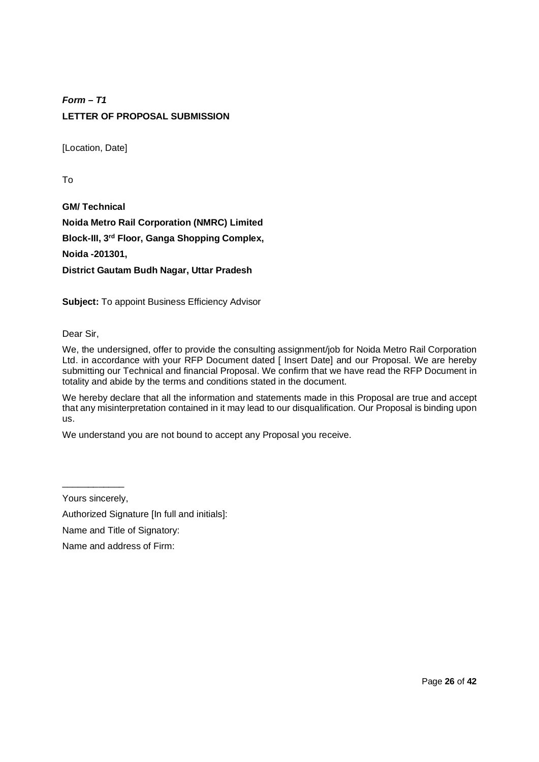# *Form – T1* **LETTER OF PROPOSAL SUBMISSION**

[Location, Date]

To

**GM/ Technical Noida Metro Rail Corporation (NMRC) Limited Block-III, 3rd Floor, Ganga Shopping Complex, Noida -201301, District Gautam Budh Nagar, Uttar Pradesh**

**Subject:** To appoint Business Efficiency Advisor

Dear Sir,

We, the undersigned, offer to provide the consulting assignment/job for Noida Metro Rail Corporation Ltd. in accordance with your RFP Document dated [ Insert Date] and our Proposal. We are hereby submitting our Technical and financial Proposal. We confirm that we have read the RFP Document in totality and abide by the terms and conditions stated in the document.

We hereby declare that all the information and statements made in this Proposal are true and accept that any misinterpretation contained in it may lead to our disqualification. Our Proposal is binding upon us.

We understand you are not bound to accept any Proposal you receive.

\_\_\_\_\_\_\_\_\_\_\_\_ Yours sincerely,

Authorized Signature [In full and initials]:

Name and Title of Signatory:

Name and address of Firm: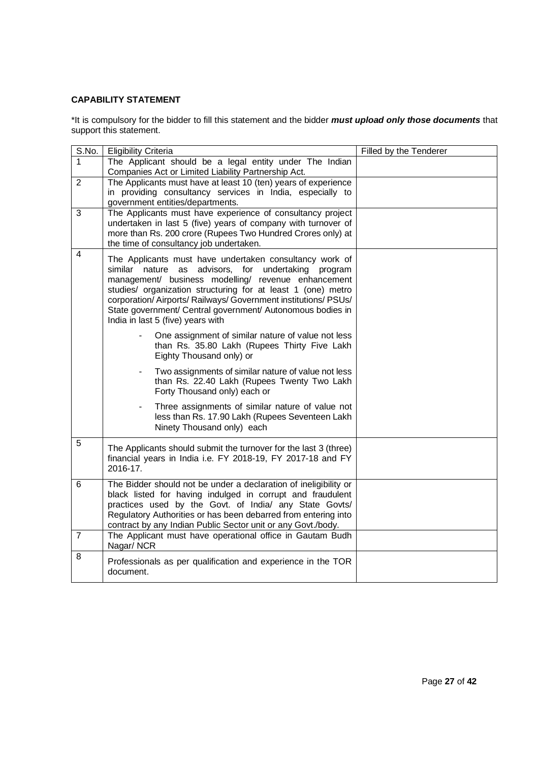# **CAPABILITY STATEMENT**

\*It is compulsory for the bidder to fill this statement and the bidder *must upload only those documents* that support this statement.

| S.No.          | <b>Eligibility Criteria</b>                                                                                                 | Filled by the Tenderer |
|----------------|-----------------------------------------------------------------------------------------------------------------------------|------------------------|
| 1              | The Applicant should be a legal entity under The Indian                                                                     |                        |
|                | Companies Act or Limited Liability Partnership Act.                                                                         |                        |
| 2              | The Applicants must have at least 10 (ten) years of experience                                                              |                        |
|                | in providing consultancy services in India, especially to                                                                   |                        |
|                | government entities/departments.                                                                                            |                        |
| 3              | The Applicants must have experience of consultancy project<br>undertaken in last 5 (five) years of company with turnover of |                        |
|                | more than Rs. 200 crore (Rupees Two Hundred Crores only) at                                                                 |                        |
|                | the time of consultancy job undertaken.                                                                                     |                        |
| $\overline{4}$ |                                                                                                                             |                        |
|                | The Applicants must have undertaken consultancy work of<br>similar nature as advisors, for undertaking program              |                        |
|                | management/ business modelling/ revenue enhancement                                                                         |                        |
|                | studies/ organization structuring for at least 1 (one) metro                                                                |                        |
|                | corporation/Airports/Railways/Government institutions/PSUs/                                                                 |                        |
|                | State government/ Central government/ Autonomous bodies in                                                                  |                        |
|                | India in last 5 (five) years with                                                                                           |                        |
|                | One assignment of similar nature of value not less                                                                          |                        |
|                | than Rs. 35.80 Lakh (Rupees Thirty Five Lakh                                                                                |                        |
|                | Eighty Thousand only) or                                                                                                    |                        |
|                | Two assignments of similar nature of value not less                                                                         |                        |
|                | than Rs. 22.40 Lakh (Rupees Twenty Two Lakh                                                                                 |                        |
|                | Forty Thousand only) each or                                                                                                |                        |
|                | Three assignments of similar nature of value not                                                                            |                        |
|                | less than Rs. 17.90 Lakh (Rupees Seventeen Lakh                                                                             |                        |
|                | Ninety Thousand only) each                                                                                                  |                        |
| 5              | The Applicants should submit the turnover for the last 3 (three)                                                            |                        |
|                | financial years in India i.e. FY 2018-19, FY 2017-18 and FY                                                                 |                        |
|                | 2016-17.                                                                                                                    |                        |
| 6              | The Bidder should not be under a declaration of ineligibility or                                                            |                        |
|                | black listed for having indulged in corrupt and fraudulent                                                                  |                        |
|                | practices used by the Govt. of India/ any State Govts/                                                                      |                        |
|                | Regulatory Authorities or has been debarred from entering into                                                              |                        |
|                | contract by any Indian Public Sector unit or any Govt./body.                                                                |                        |
| $\overline{7}$ | The Applicant must have operational office in Gautam Budh                                                                   |                        |
|                | Nagar/NCR                                                                                                                   |                        |
| 8              | Professionals as per qualification and experience in the TOR                                                                |                        |
|                | document.                                                                                                                   |                        |
|                |                                                                                                                             |                        |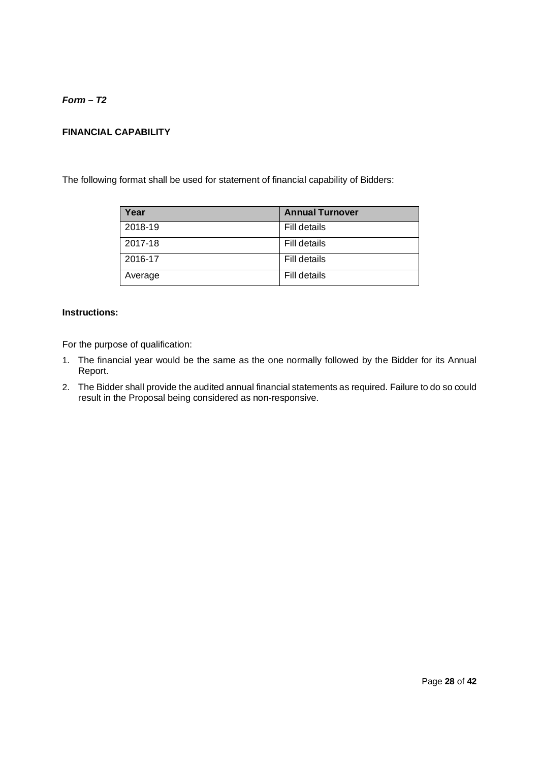*Form – T2*

# **FINANCIAL CAPABILITY**

The following format shall be used for statement of financial capability of Bidders:

| Year    | <b>Annual Turnover</b> |
|---------|------------------------|
| 2018-19 | Fill details           |
| 2017-18 | Fill details           |
| 2016-17 | Fill details           |
| Average | Fill details           |

# **Instructions:**

For the purpose of qualification:

- 1. The financial year would be the same as the one normally followed by the Bidder for its Annual Report.
- 2. The Bidder shall provide the audited annual financial statements as required. Failure to do so could result in the Proposal being considered as non-responsive.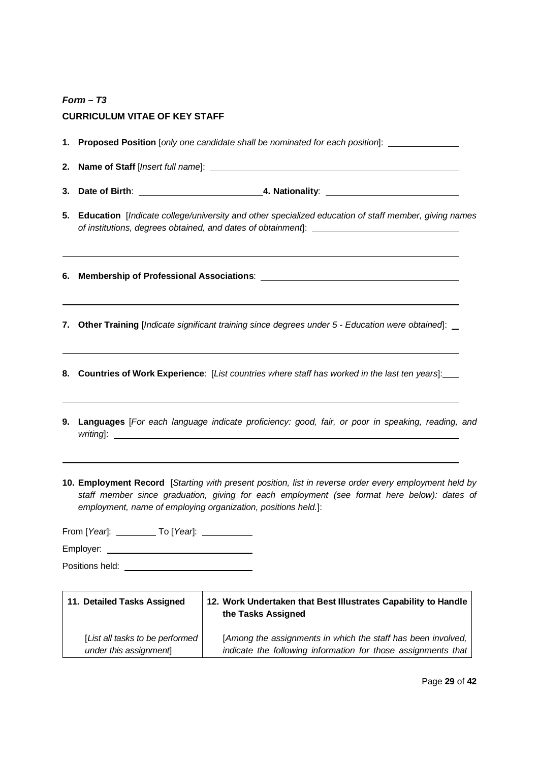# *Form – T3* **CURRICULUM VITAE OF KEY STAFF**

|    | 1. Proposed Position [only one candidate shall be nominated for each position]: ___________________                                                                                                                                                                   |
|----|-----------------------------------------------------------------------------------------------------------------------------------------------------------------------------------------------------------------------------------------------------------------------|
| 2. |                                                                                                                                                                                                                                                                       |
|    |                                                                                                                                                                                                                                                                       |
|    | 5. Education [Indicate college/university and other specialized education of staff member, giving names                                                                                                                                                               |
|    | <u> 1989 - Johann Stoff, fransk politik (d. 1989)</u>                                                                                                                                                                                                                 |
| 7. | Other Training [Indicate significant training since degrees under 5 - Education were obtained]: _                                                                                                                                                                     |
|    | 8. Countries of Work Experience: [List countries where staff has worked in the last ten years]:___                                                                                                                                                                    |
|    | 9. Languages [For each language indicate proficiency: good, fair, or poor in speaking, reading, and                                                                                                                                                                   |
|    | 10. Employment Record [Starting with present position, list in reverse order every employment held by<br>staff member since graduation, giving for each employment (see format here below): dates of<br>employment, name of employing organization, positions held.]: |
|    | From [Year]: ____________ To [Year]: _____________                                                                                                                                                                                                                    |
|    |                                                                                                                                                                                                                                                                       |
|    | Positions held:                                                                                                                                                                                                                                                       |

| 11. Detailed Tasks Assigned      | 12. Work Undertaken that Best Illustrates Capability to Handle<br>the Tasks Assigned |
|----------------------------------|--------------------------------------------------------------------------------------|
| [List all tasks to be performed] | [Among the assignments in which the staff has been involved,                         |
| under this assignment            | indicate the following information for those assignments that                        |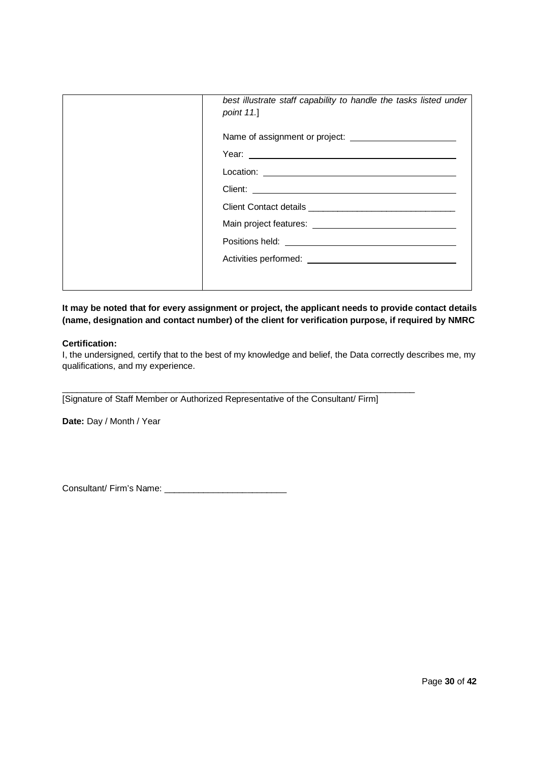| best illustrate staff capability to handle the tasks listed under<br>point 11.] |
|---------------------------------------------------------------------------------|
|                                                                                 |
|                                                                                 |
|                                                                                 |
|                                                                                 |
|                                                                                 |
|                                                                                 |
|                                                                                 |
|                                                                                 |
|                                                                                 |
|                                                                                 |

**It may be noted that for every assignment or project, the applicant needs to provide contact details (name, designation and contact number) of the client for verification purpose, if required by NMRC**

### **Certification:**

I, the undersigned, certify that to the best of my knowledge and belief, the Data correctly describes me, my qualifications, and my experience.

[Signature of Staff Member or Authorized Representative of the Consultant/ Firm]

 $\_$  , and the set of the set of the set of the set of the set of the set of the set of the set of the set of the set of the set of the set of the set of the set of the set of the set of the set of the set of the set of th

**Date:** Day / Month / Year

Consultant/ Firm's Name: \_\_\_\_\_\_\_\_\_\_\_\_\_\_\_\_\_\_\_\_\_\_\_\_\_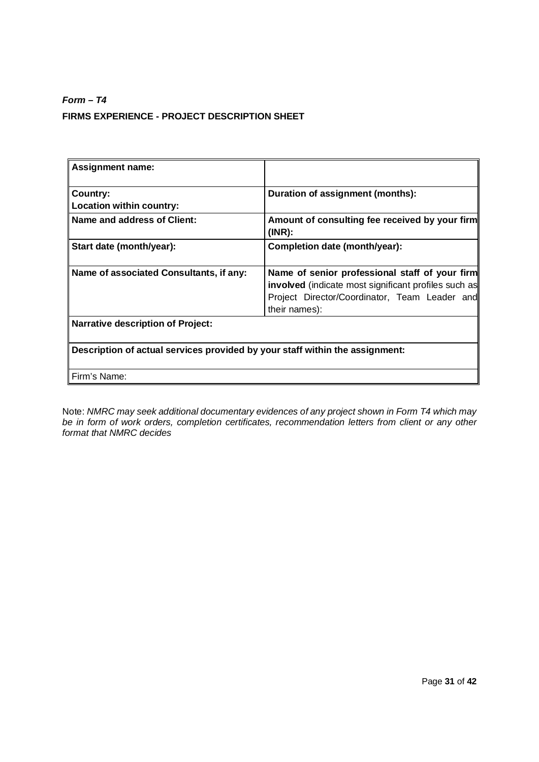# *Form – T4* **FIRMS EXPERIENCE - PROJECT DESCRIPTION SHEET**

| <b>Assignment name:</b>                                                      |                                                                                                                                                                                 |
|------------------------------------------------------------------------------|---------------------------------------------------------------------------------------------------------------------------------------------------------------------------------|
| Country:<br>Location within country:                                         | Duration of assignment (months):                                                                                                                                                |
| Name and address of Client:                                                  | Amount of consulting fee received by your firm<br>$(INR)$ :                                                                                                                     |
| Start date (month/year):                                                     | Completion date (month/year):                                                                                                                                                   |
| Name of associated Consultants, if any:                                      | Name of senior professional staff of your firm<br><b>involved</b> (indicate most significant profiles such as<br>Project Director/Coordinator, Team Leader and<br>their names): |
| <b>Narrative description of Project:</b>                                     |                                                                                                                                                                                 |
| Description of actual services provided by your staff within the assignment: |                                                                                                                                                                                 |
| Firm's Name:                                                                 |                                                                                                                                                                                 |

Note: *NMRC may seek additional documentary evidences of any project shown in Form T4 which may be in form of work orders, completion certificates, recommendation letters from client or any other format that NMRC decides*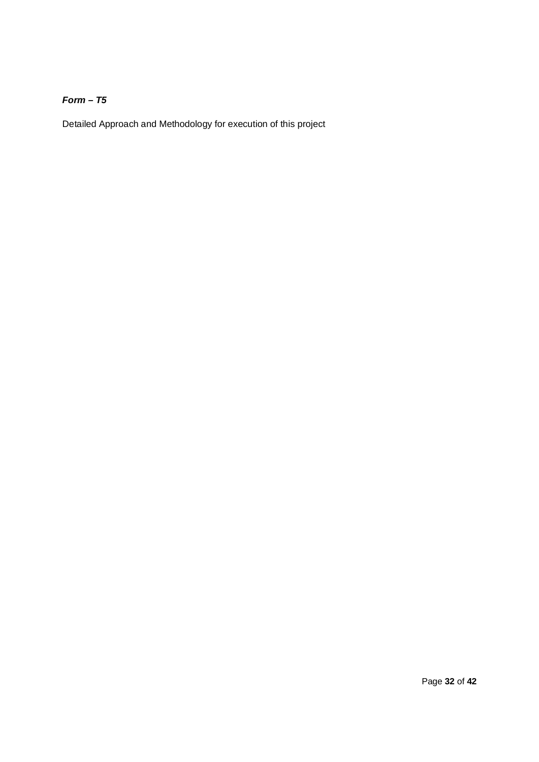# *Form – T5*

Detailed Approach and Methodology for execution of this project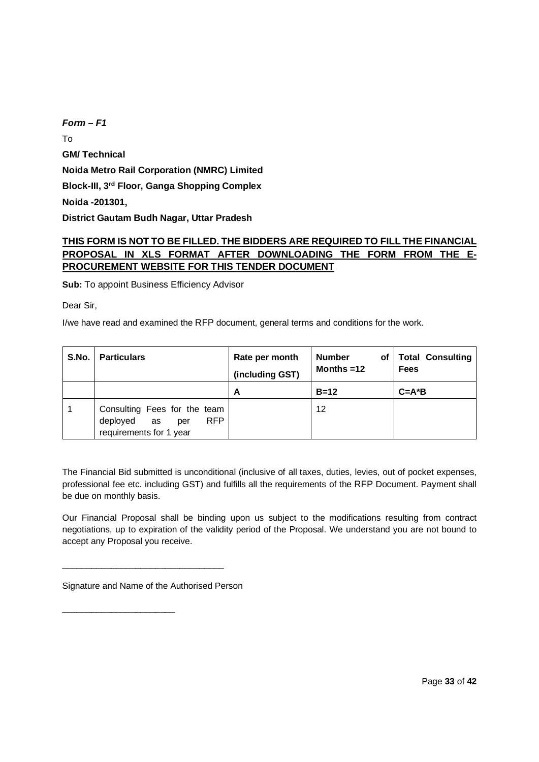*Form – F1* To **GM/ Technical Noida Metro Rail Corporation (NMRC) Limited Block-III, 3rd Floor, Ganga Shopping Complex Noida -201301, District Gautam Budh Nagar, Uttar Pradesh**

# **THIS FORM IS NOT TO BE FILLED. THE BIDDERS ARE REQUIRED TO FILL THE FINANCIAL PROPOSAL IN XLS FORMAT AFTER DOWNLOADING THE FORM FROM THE E-PROCUREMENT WEBSITE FOR THIS TENDER DOCUMENT**

**Sub:** To appoint Business Efficiency Advisor

Dear Sir,

I/we have read and examined the RFP document, general terms and conditions for the work.

| S.No. | <b>Particulars</b>                                                                       | Rate per month<br>(including GST) | <b>Number</b><br>of<br>Months $=12$ | <b>Total Consulting</b><br><b>Fees</b> |  |  |  |  |  |
|-------|------------------------------------------------------------------------------------------|-----------------------------------|-------------------------------------|----------------------------------------|--|--|--|--|--|
|       |                                                                                          | А                                 | $B=12$                              | $C = A^*B$                             |  |  |  |  |  |
|       | Consulting Fees for the team<br>RFP.<br>deployed<br>as<br>per<br>requirements for 1 year |                                   | 12                                  |                                        |  |  |  |  |  |

The Financial Bid submitted is unconditional (inclusive of all taxes, duties, levies, out of pocket expenses, professional fee etc. including GST) and fulfills all the requirements of the RFP Document. Payment shall be due on monthly basis.

Our Financial Proposal shall be binding upon us subject to the modifications resulting from contract negotiations, up to expiration of the validity period of the Proposal. We understand you are not bound to accept any Proposal you receive.

Signature and Name of the Authorised Person

\_\_\_\_\_\_\_\_\_\_\_\_\_\_\_\_\_\_\_\_\_\_\_\_\_\_\_\_\_\_\_\_\_

\_\_\_\_\_\_\_\_\_\_\_\_\_\_\_\_\_\_\_\_\_\_\_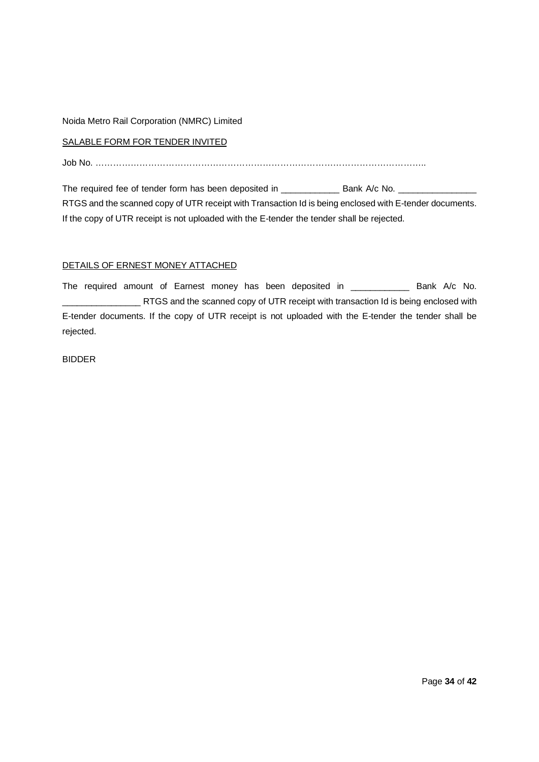### Noida Metro Rail Corporation (NMRC) Limited

### SALABLE FORM FOR TENDER INVITED

Job No. …………………………………………………………………………………………………..

The required fee of tender form has been deposited in \_\_\_\_\_\_\_\_\_\_\_\_\_\_\_ Bank A/c No. \_\_\_\_\_\_\_\_\_\_\_\_\_\_\_\_ RTGS and the scanned copy of UTR receipt with Transaction Id is being enclosed with E-tender documents. If the copy of UTR receipt is not uploaded with the E-tender the tender shall be rejected.

### DETAILS OF ERNEST MONEY ATTACHED

The required amount of Earnest money has been deposited in \_\_\_\_\_\_\_\_\_\_\_\_\_\_ Bank A/c No. \_\_\_\_\_\_\_\_\_\_\_\_\_\_\_\_ RTGS and the scanned copy of UTR receipt with transaction Id is being enclosed with E-tender documents. If the copy of UTR receipt is not uploaded with the E-tender the tender shall be rejected.

### BIDDER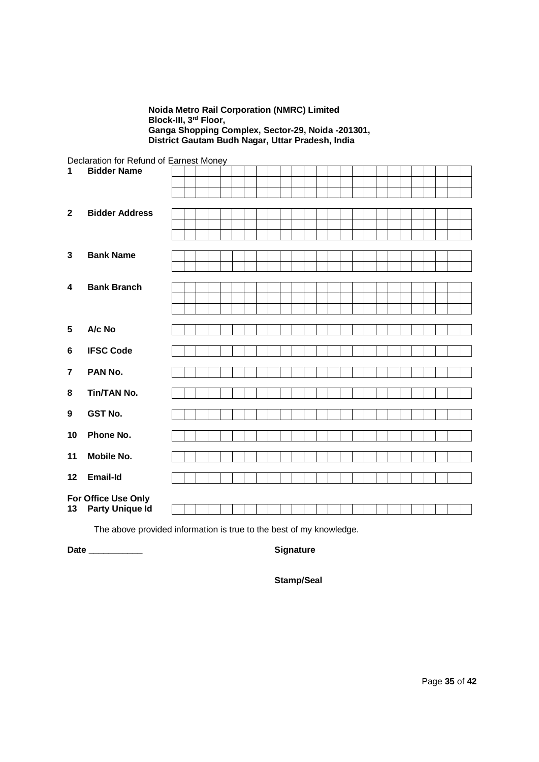### **Noida Metro Rail Corporation (NMRC) Limited Block-III, 3rd Floor, Ganga Shopping Complex, Sector-29, Noida -201301, District Gautam Budh Nagar, Uttar Pradesh, India**

Declaration for Refund of Earnest Money

| 1              | <b>Bidder Name</b>     | . |  |  |  |  |  |  |  |  |  |  |
|----------------|------------------------|---|--|--|--|--|--|--|--|--|--|--|
|                |                        |   |  |  |  |  |  |  |  |  |  |  |
|                |                        |   |  |  |  |  |  |  |  |  |  |  |
| $\mathbf{2}$   | <b>Bidder Address</b>  |   |  |  |  |  |  |  |  |  |  |  |
|                |                        |   |  |  |  |  |  |  |  |  |  |  |
|                |                        |   |  |  |  |  |  |  |  |  |  |  |
| $\mathbf{3}$   | <b>Bank Name</b>       |   |  |  |  |  |  |  |  |  |  |  |
|                |                        |   |  |  |  |  |  |  |  |  |  |  |
|                |                        |   |  |  |  |  |  |  |  |  |  |  |
| 4              | <b>Bank Branch</b>     |   |  |  |  |  |  |  |  |  |  |  |
|                |                        |   |  |  |  |  |  |  |  |  |  |  |
|                |                        |   |  |  |  |  |  |  |  |  |  |  |
| $5\phantom{1}$ | A/c No                 |   |  |  |  |  |  |  |  |  |  |  |
| $\bf 6$        | <b>IFSC Code</b>       |   |  |  |  |  |  |  |  |  |  |  |
|                |                        |   |  |  |  |  |  |  |  |  |  |  |
| $\overline{7}$ | PAN No.                |   |  |  |  |  |  |  |  |  |  |  |
|                |                        |   |  |  |  |  |  |  |  |  |  |  |
| 8              | <b>Tin/TAN No.</b>     |   |  |  |  |  |  |  |  |  |  |  |
| 9              | <b>GST No.</b>         |   |  |  |  |  |  |  |  |  |  |  |
| 10             | Phone No.              |   |  |  |  |  |  |  |  |  |  |  |
|                |                        |   |  |  |  |  |  |  |  |  |  |  |
| 11             | <b>Mobile No.</b>      |   |  |  |  |  |  |  |  |  |  |  |
| 12             | <b>Email-Id</b>        |   |  |  |  |  |  |  |  |  |  |  |
|                |                        |   |  |  |  |  |  |  |  |  |  |  |
|                | For Office Use Only    |   |  |  |  |  |  |  |  |  |  |  |
| 13             | <b>Party Unique Id</b> |   |  |  |  |  |  |  |  |  |  |  |

The above provided information is true to the best of my knowledge.

**Date \_\_\_\_\_\_\_\_\_\_\_ Signature**

**Stamp/Seal**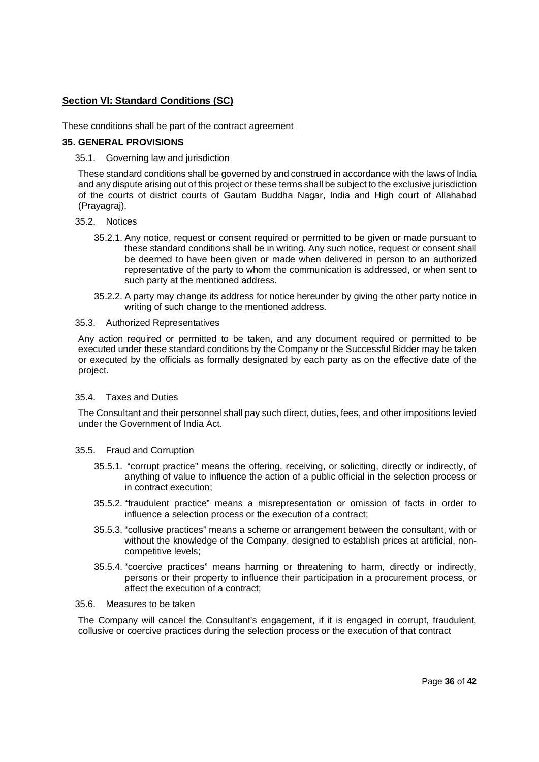# **Section VI: Standard Conditions (SC)**

These conditions shall be part of the contract agreement

### **35. GENERAL PROVISIONS**

35.1. Governing law and jurisdiction

These standard conditions shall be governed by and construed in accordance with the laws of India and any dispute arising out of this project or these terms shall be subject to the exclusive jurisdiction of the courts of district courts of Gautam Buddha Nagar, India and High court of Allahabad (Prayagraj).

- 35.2. Notices
	- 35.2.1. Any notice, request or consent required or permitted to be given or made pursuant to these standard conditions shall be in writing. Any such notice, request or consent shall be deemed to have been given or made when delivered in person to an authorized representative of the party to whom the communication is addressed, or when sent to such party at the mentioned address.
	- 35.2.2. A party may change its address for notice hereunder by giving the other party notice in writing of such change to the mentioned address.

### 35.3. Authorized Representatives

Any action required or permitted to be taken, and any document required or permitted to be executed under these standard conditions by the Company or the Successful Bidder may be taken or executed by the officials as formally designated by each party as on the effective date of the project.

### 35.4. Taxes and Duties

The Consultant and their personnel shall pay such direct, duties, fees, and other impositions levied under the Government of India Act.

### 35.5. Fraud and Corruption

- 35.5.1. "corrupt practice" means the offering, receiving, or soliciting, directly or indirectly, of anything of value to influence the action of a public official in the selection process or in contract execution;
- 35.5.2. "fraudulent practice" means a misrepresentation or omission of facts in order to influence a selection process or the execution of a contract;
- 35.5.3. "collusive practices" means a scheme or arrangement between the consultant, with or without the knowledge of the Company, designed to establish prices at artificial, noncompetitive levels;
- 35.5.4. "coercive practices" means harming or threatening to harm, directly or indirectly, persons or their property to influence their participation in a procurement process, or affect the execution of a contract;

### 35.6. Measures to be taken

The Company will cancel the Consultant's engagement, if it is engaged in corrupt, fraudulent, collusive or coercive practices during the selection process or the execution of that contract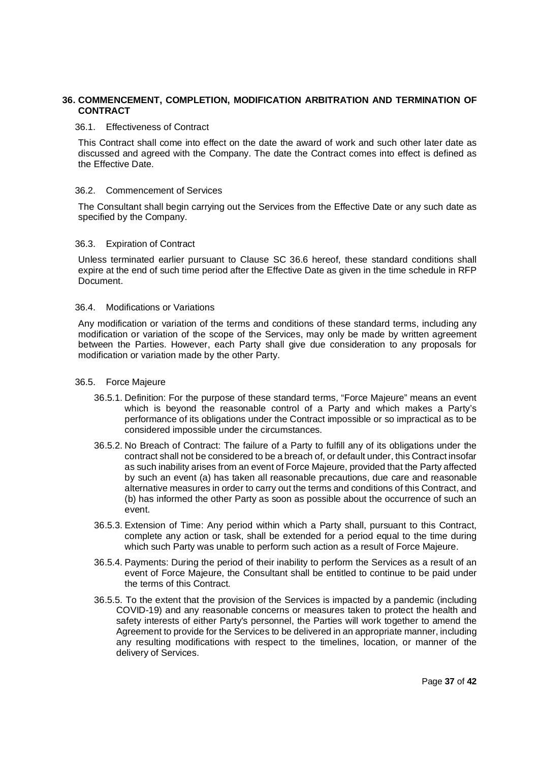# **36. COMMENCEMENT, COMPLETION, MODIFICATION ARBITRATION AND TERMINATION OF CONTRACT**

### 36.1. Effectiveness of Contract

This Contract shall come into effect on the date the award of work and such other later date as discussed and agreed with the Company. The date the Contract comes into effect is defined as the Effective Date.

### 36.2. Commencement of Services

The Consultant shall begin carrying out the Services from the Effective Date or any such date as specified by the Company.

### 36.3. Expiration of Contract

Unless terminated earlier pursuant to Clause SC 36.6 hereof, these standard conditions shall expire at the end of such time period after the Effective Date as given in the time schedule in RFP Document.

### 36.4. Modifications or Variations

Any modification or variation of the terms and conditions of these standard terms, including any modification or variation of the scope of the Services, may only be made by written agreement between the Parties. However, each Party shall give due consideration to any proposals for modification or variation made by the other Party.

### 36.5. Force Majeure

- 36.5.1. Definition: For the purpose of these standard terms, "Force Majeure" means an event which is beyond the reasonable control of a Party and which makes a Party's performance of its obligations under the Contract impossible or so impractical as to be considered impossible under the circumstances.
- 36.5.2. No Breach of Contract: The failure of a Party to fulfill any of its obligations under the contract shall not be considered to be a breach of, or default under, this Contract insofar as such inability arises from an event of Force Majeure, provided that the Party affected by such an event (a) has taken all reasonable precautions, due care and reasonable alternative measures in order to carry out the terms and conditions of this Contract, and (b) has informed the other Party as soon as possible about the occurrence of such an event.
- 36.5.3. Extension of Time: Any period within which a Party shall, pursuant to this Contract, complete any action or task, shall be extended for a period equal to the time during which such Party was unable to perform such action as a result of Force Majeure.
- 36.5.4. Payments: During the period of their inability to perform the Services as a result of an event of Force Majeure, the Consultant shall be entitled to continue to be paid under the terms of this Contract.
- 36.5.5. To the extent that the provision of the Services is impacted by a pandemic (including COVID-19) and any reasonable concerns or measures taken to protect the health and safety interests of either Party's personnel, the Parties will work together to amend the Agreement to provide for the Services to be delivered in an appropriate manner, including any resulting modifications with respect to the timelines, location, or manner of the delivery of Services.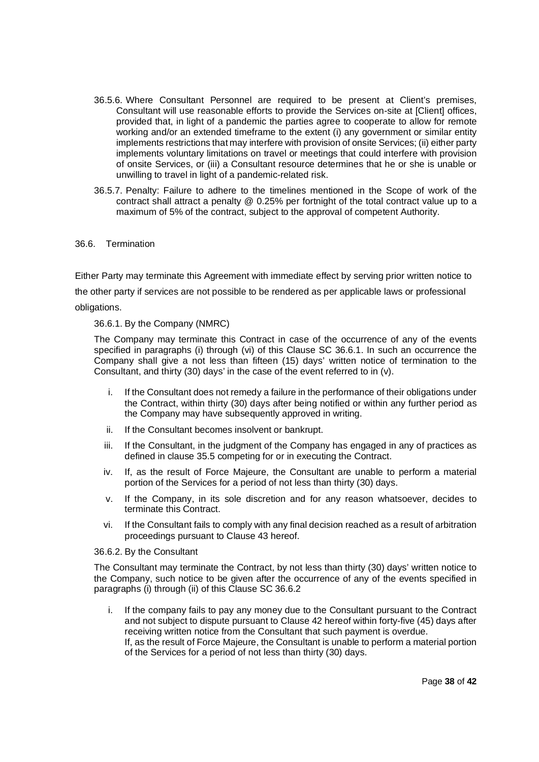- 36.5.6. Where Consultant Personnel are required to be present at Client's premises, Consultant will use reasonable efforts to provide the Services on-site at [Client] offices, provided that, in light of a pandemic the parties agree to cooperate to allow for remote working and/or an extended timeframe to the extent (i) any government or similar entity implements restrictions that may interfere with provision of onsite Services; (ii) either party implements voluntary limitations on travel or meetings that could interfere with provision of onsite Services, or (iii) a Consultant resource determines that he or she is unable or unwilling to travel in light of a pandemic-related risk.
- 36.5.7. Penalty: Failure to adhere to the timelines mentioned in the Scope of work of the contract shall attract a penalty @ 0.25% per fortnight of the total contract value up to a maximum of 5% of the contract, subject to the approval of competent Authority.

### 36.6. Termination

Either Party may terminate this Agreement with immediate effect by serving prior written notice to

the other party if services are not possible to be rendered as per applicable laws or professional

obligations.

### 36.6.1. By the Company (NMRC)

The Company may terminate this Contract in case of the occurrence of any of the events specified in paragraphs (i) through (vi) of this Clause SC 36.6.1. In such an occurrence the Company shall give a not less than fifteen (15) days' written notice of termination to the Consultant, and thirty (30) days' in the case of the event referred to in (v).

- i. If the Consultant does not remedy a failure in the performance of their obligations under the Contract, within thirty (30) days after being notified or within any further period as the Company may have subsequently approved in writing.
- ii. If the Consultant becomes insolvent or bankrupt.
- iii. If the Consultant, in the judgment of the Company has engaged in any of practices as defined in clause 35.5 competing for or in executing the Contract.
- iv. If, as the result of Force Majeure, the Consultant are unable to perform a material portion of the Services for a period of not less than thirty (30) days.
- v. If the Company, in its sole discretion and for any reason whatsoever, decides to terminate this Contract.
- vi. If the Consultant fails to comply with any final decision reached as a result of arbitration proceedings pursuant to Clause 43 hereof.

### 36.6.2. By the Consultant

The Consultant may terminate the Contract, by not less than thirty (30) days' written notice to the Company, such notice to be given after the occurrence of any of the events specified in paragraphs (i) through (ii) of this Clause SC 36.6.2

i. If the company fails to pay any money due to the Consultant pursuant to the Contract and not subject to dispute pursuant to Clause 42 hereof within forty-five (45) days after receiving written notice from the Consultant that such payment is overdue. If, as the result of Force Majeure, the Consultant is unable to perform a material portion of the Services for a period of not less than thirty (30) days.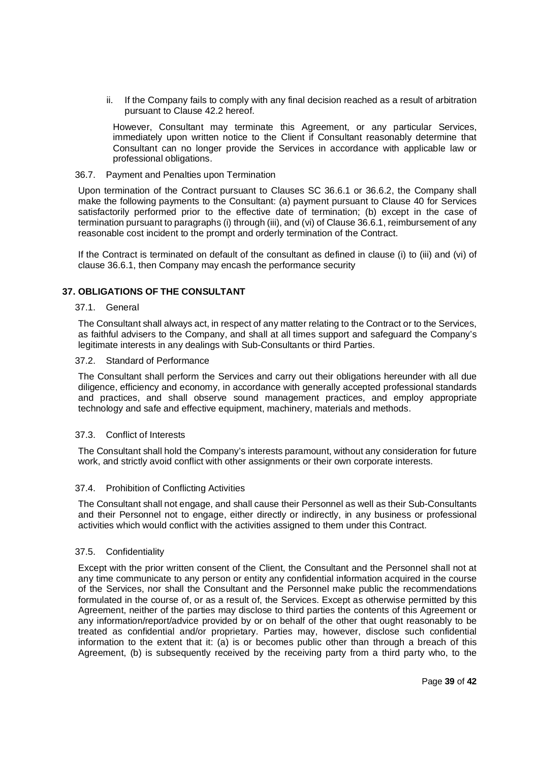ii. If the Company fails to comply with any final decision reached as a result of arbitration pursuant to Clause 42.2 hereof.

However, Consultant may terminate this Agreement, or any particular Services, immediately upon written notice to the Client if Consultant reasonably determine that Consultant can no longer provide the Services in accordance with applicable law or professional obligations.

### 36.7. Payment and Penalties upon Termination

Upon termination of the Contract pursuant to Clauses SC 36.6.1 or 36.6.2, the Company shall make the following payments to the Consultant: (a) payment pursuant to Clause 40 for Services satisfactorily performed prior to the effective date of termination; (b) except in the case of termination pursuant to paragraphs (i) through (iii), and (vi) of Clause 36.6.1, reimbursement of any reasonable cost incident to the prompt and orderly termination of the Contract.

If the Contract is terminated on default of the consultant as defined in clause (i) to (iii) and (vi) of clause 36.6.1, then Company may encash the performance security

### **37. OBLIGATIONS OF THE CONSULTANT**

#### 37.1. General

The Consultant shall always act, in respect of any matter relating to the Contract or to the Services, as faithful advisers to the Company, and shall at all times support and safeguard the Company's legitimate interests in any dealings with Sub-Consultants or third Parties.

### 37.2. Standard of Performance

The Consultant shall perform the Services and carry out their obligations hereunder with all due diligence, efficiency and economy, in accordance with generally accepted professional standards and practices, and shall observe sound management practices, and employ appropriate technology and safe and effective equipment, machinery, materials and methods.

### 37.3. Conflict of Interests

The Consultant shall hold the Company's interests paramount, without any consideration for future work, and strictly avoid conflict with other assignments or their own corporate interests.

### 37.4. Prohibition of Conflicting Activities

The Consultant shall not engage, and shall cause their Personnel as well as their Sub-Consultants and their Personnel not to engage, either directly or indirectly, in any business or professional activities which would conflict with the activities assigned to them under this Contract.

### 37.5. Confidentiality

Except with the prior written consent of the Client, the Consultant and the Personnel shall not at any time communicate to any person or entity any confidential information acquired in the course of the Services, nor shall the Consultant and the Personnel make public the recommendations formulated in the course of, or as a result of, the Services. Except as otherwise permitted by this Agreement, neither of the parties may disclose to third parties the contents of this Agreement or any information/report/advice provided by or on behalf of the other that ought reasonably to be treated as confidential and/or proprietary. Parties may, however, disclose such confidential information to the extent that it: (a) is or becomes public other than through a breach of this Agreement, (b) is subsequently received by the receiving party from a third party who, to the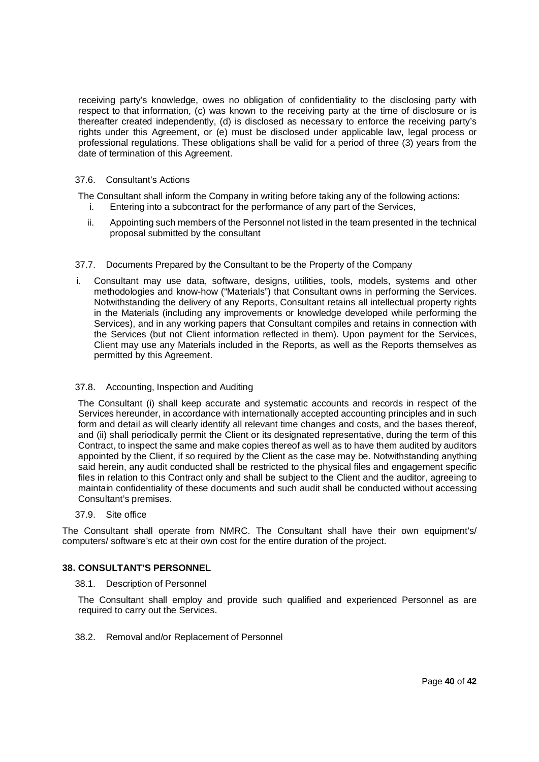receiving party's knowledge, owes no obligation of confidentiality to the disclosing party with respect to that information, (c) was known to the receiving party at the time of disclosure or is thereafter created independently, (d) is disclosed as necessary to enforce the receiving party's rights under this Agreement, or (e) must be disclosed under applicable law, legal process or professional regulations. These obligations shall be valid for a period of three (3) years from the date of termination of this Agreement.

### 37.6. Consultant's Actions

The Consultant shall inform the Company in writing before taking any of the following actions:

- i. Entering into a subcontract for the performance of any part of the Services,
- ii. Appointing such members of the Personnel not listed in the team presented in the technical proposal submitted by the consultant

### 37.7. Documents Prepared by the Consultant to be the Property of the Company

i. Consultant may use data, software, designs, utilities, tools, models, systems and other methodologies and know-how ("Materials") that Consultant owns in performing the Services. Notwithstanding the delivery of any Reports, Consultant retains all intellectual property rights in the Materials (including any improvements or knowledge developed while performing the Services), and in any working papers that Consultant compiles and retains in connection with the Services (but not Client information reflected in them). Upon payment for the Services, Client may use any Materials included in the Reports, as well as the Reports themselves as permitted by this Agreement.

### 37.8. Accounting, Inspection and Auditing

The Consultant (i) shall keep accurate and systematic accounts and records in respect of the Services hereunder, in accordance with internationally accepted accounting principles and in such form and detail as will clearly identify all relevant time changes and costs, and the bases thereof, and (ii) shall periodically permit the Client or its designated representative, during the term of this Contract, to inspect the same and make copies thereof as well as to have them audited by auditors appointed by the Client, if so required by the Client as the case may be. Notwithstanding anything said herein, any audit conducted shall be restricted to the physical files and engagement specific files in relation to this Contract only and shall be subject to the Client and the auditor, agreeing to maintain confidentiality of these documents and such audit shall be conducted without accessing Consultant's premises.

### 37.9. Site office

The Consultant shall operate from NMRC. The Consultant shall have their own equipment's/ computers/ software's etc at their own cost for the entire duration of the project.

### **38. CONSULTANT'S PERSONNEL**

### 38.1. Description of Personnel

The Consultant shall employ and provide such qualified and experienced Personnel as are required to carry out the Services.

### 38.2. Removal and/or Replacement of Personnel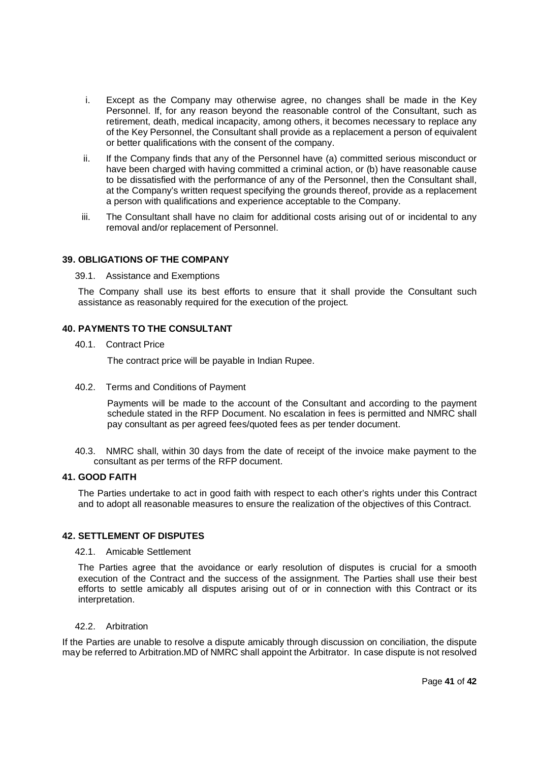- i. Except as the Company may otherwise agree, no changes shall be made in the Key Personnel. If, for any reason beyond the reasonable control of the Consultant, such as retirement, death, medical incapacity, among others, it becomes necessary to replace any of the Key Personnel, the Consultant shall provide as a replacement a person of equivalent or better qualifications with the consent of the company.
- ii. If the Company finds that any of the Personnel have (a) committed serious misconduct or have been charged with having committed a criminal action, or (b) have reasonable cause to be dissatisfied with the performance of any of the Personnel, then the Consultant shall, at the Company's written request specifying the grounds thereof, provide as a replacement a person with qualifications and experience acceptable to the Company.
- iii. The Consultant shall have no claim for additional costs arising out of or incidental to any removal and/or replacement of Personnel.

### **39. OBLIGATIONS OF THE COMPANY**

39.1. Assistance and Exemptions

The Company shall use its best efforts to ensure that it shall provide the Consultant such assistance as reasonably required for the execution of the project.

### **40. PAYMENTS TO THE CONSULTANT**

40.1. Contract Price

The contract price will be payable in Indian Rupee.

40.2. Terms and Conditions of Payment

Payments will be made to the account of the Consultant and according to the payment schedule stated in the RFP Document. No escalation in fees is permitted and NMRC shall pay consultant as per agreed fees/quoted fees as per tender document.

40.3. NMRC shall, within 30 days from the date of receipt of the invoice make payment to the consultant as per terms of the RFP document.

### **41. GOOD FAITH**

The Parties undertake to act in good faith with respect to each other's rights under this Contract and to adopt all reasonable measures to ensure the realization of the objectives of this Contract.

### **42. SETTLEMENT OF DISPUTES**

42.1. Amicable Settlement

The Parties agree that the avoidance or early resolution of disputes is crucial for a smooth execution of the Contract and the success of the assignment. The Parties shall use their best efforts to settle amicably all disputes arising out of or in connection with this Contract or its interpretation.

#### 42.2. Arbitration

If the Parties are unable to resolve a dispute amicably through discussion on conciliation, the dispute may be referred to Arbitration.MD of NMRC shall appoint the Arbitrator. In case dispute is not resolved